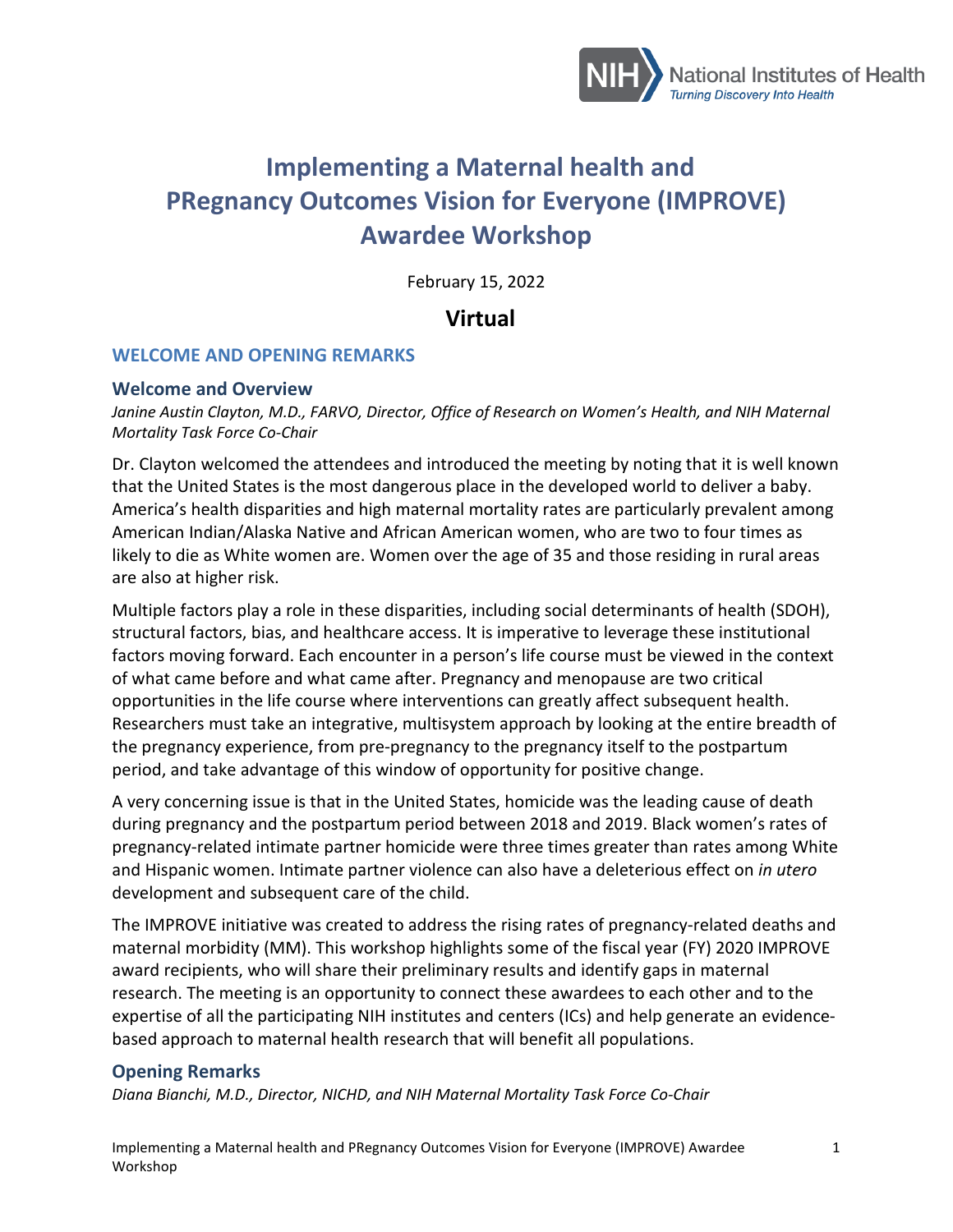

# **Implementing a Maternal health and PRegnancy Outcomes Vision for Everyone (IMPROVE) Awardee Workshop**

February 15, 2022

# **Virtual**

### **WELCOME AND OPENING REMARKS**

#### **Welcome and Overview**

Janine Austin Clayton, M.D., FARVO, Director, Office of Research on Women's Health, and NIH Maternal *Mortality Task Force Co-Chair*

Dr. Clayton welcomed the attendees and introduced the meeting by noting that it is well known that the United States is the most dangerous place in the developed world to deliver a baby. America's health disparities and high maternal mortality rates are particularly prevalent among American Indian/Alaska Native and African American women, who are two to four times as likely to die as White women are. Women over the age of 35 and those residing in rural areas are also at higher risk.

Multiple factors play a role in these disparities, including social determinants of health (SDOH), structural factors, bias, and healthcare access. It is imperative to leverage these institutional factors moving forward. Each encounter in a person's life course must be viewed in the context of what came before and what came after. Pregnancy and menopause are two critical opportunities in the life course where interventions can greatly affect subsequent health. Researchers must take an integrative, multisystem approach by looking at the entire breadth of the pregnancy experience, from pre-pregnancy to the pregnancy itself to the postpartum period, and take advantage of this window of opportunity for positive change.

A very concerning issue is that in the United States, homicide was the leading cause of death during pregnancy and the postpartum period between 2018 and 2019. Black women's rates of pregnancy-related intimate partner homicide were three times greater than rates among White and Hispanic women. Intimate partner violence can also have a deleterious effect on *in utero* development and subsequent care of the child.

The IMPROVE initiative was created to address the rising rates of pregnancy-related deaths and maternal morbidity (MM). This workshop highlights some of the fiscal year (FY) 2020 IMPROVE award recipients, who will share their preliminary results and identify gaps in maternal research. The meeting is an opportunity to connect these awardees to each other and to the expertise of all the participating NIH institutes and centers (ICs) and help generate an evidencebased approach to maternal health research that will benefit all populations.

#### **Opening Remarks**

*Diana Bianchi, M.D., Director, NICHD, and NIH Maternal Mortality Task Force Co-Chair*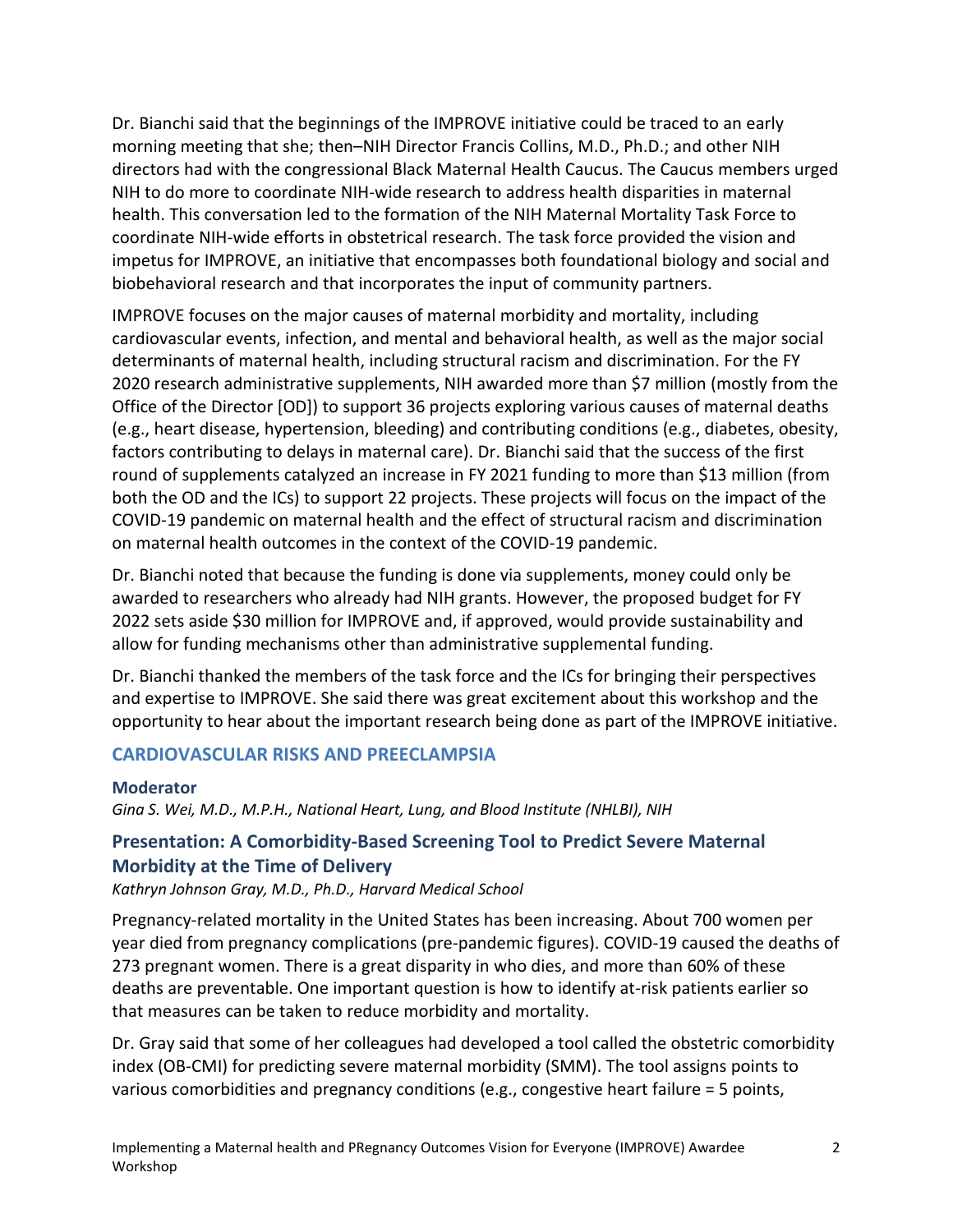Dr. Bianchi said that the beginnings of the IMPROVE initiative could be traced to an early morning meeting that she; then–NIH Director Francis Collins, M.D., Ph.D.; and other NIH directors had with the congressional Black Maternal Health Caucus. The Caucus members urged NIH to do more to coordinate NIH-wide research to address health disparities in maternal health. This conversation led to the formation of the NIH Maternal Mortality Task Force to coordinate NIH-wide efforts in obstetrical research. The task force provided the vision and impetus for IMPROVE, an initiative that encompasses both foundational biology and social and biobehavioral research and that incorporates the input of community partners.

IMPROVE focuses on the major causes of maternal morbidity and mortality, including cardiovascular events, infection, and mental and behavioral health, as well as the major social determinants of maternal health, including structural racism and discrimination. For the FY 2020 research administrative supplements, NIH awarded more than \$7 million (mostly from the Office of the Director [OD]) to support 36 projects exploring various causes of maternal deaths (e.g., heart disease, hypertension, bleeding) and contributing conditions (e.g., diabetes, obesity, factors contributing to delays in maternal care). Dr. Bianchi said that the success of the first round of supplements catalyzed an increase in FY 2021 funding to more than \$13 million (from both the OD and the ICs) to support 22 projects. These projects will focus on the impact of the COVID-19 pandemic on maternal health and the effect of structural racism and discrimination on maternal health outcomes in the context of the COVID-19 pandemic.

Dr. Bianchi noted that because the funding is done via supplements, money could only be awarded to researchers who already had NIH grants. However, the proposed budget for FY 2022 sets aside \$30 million for IMPROVE and, if approved, would provide sustainability and allow for funding mechanisms other than administrative supplemental funding.

Dr. Bianchi thanked the members of the task force and the ICs for bringing their perspectives and expertise to IMPROVE. She said there was great excitement about this workshop and the opportunity to hear about the important research being done as part of the IMPROVE initiative.

# **CARDIOVASCULAR RISKS AND PREECLAMPSIA**

#### **Moderator**

*Gina S. Wei, M.D., M.P.H., National Heart, Lung, and Blood Institute (NHLBI), NIH*

# **Presentation: A Comorbidity-Based Screening Tool to Predict Severe Maternal Morbidity at the Time of Delivery**

*Kathryn Johnson Gray, M.D., Ph.D., Harvard Medical School*

Pregnancy-related mortality in the United States has been increasing. About 700 women per year died from pregnancy complications (pre-pandemic figures). COVID-19 caused the deaths of 273 pregnant women. There is a great disparity in who dies, and more than 60% of these deaths are preventable. One important question is how to identify at-risk patients earlier so that measures can be taken to reduce morbidity and mortality.

Dr. Gray said that some of her colleagues had developed a tool called the obstetric comorbidity index (OB-CMI) for predicting severe maternal morbidity (SMM). The tool assigns points to various comorbidities and pregnancy conditions (e.g., congestive heart failure = 5 points,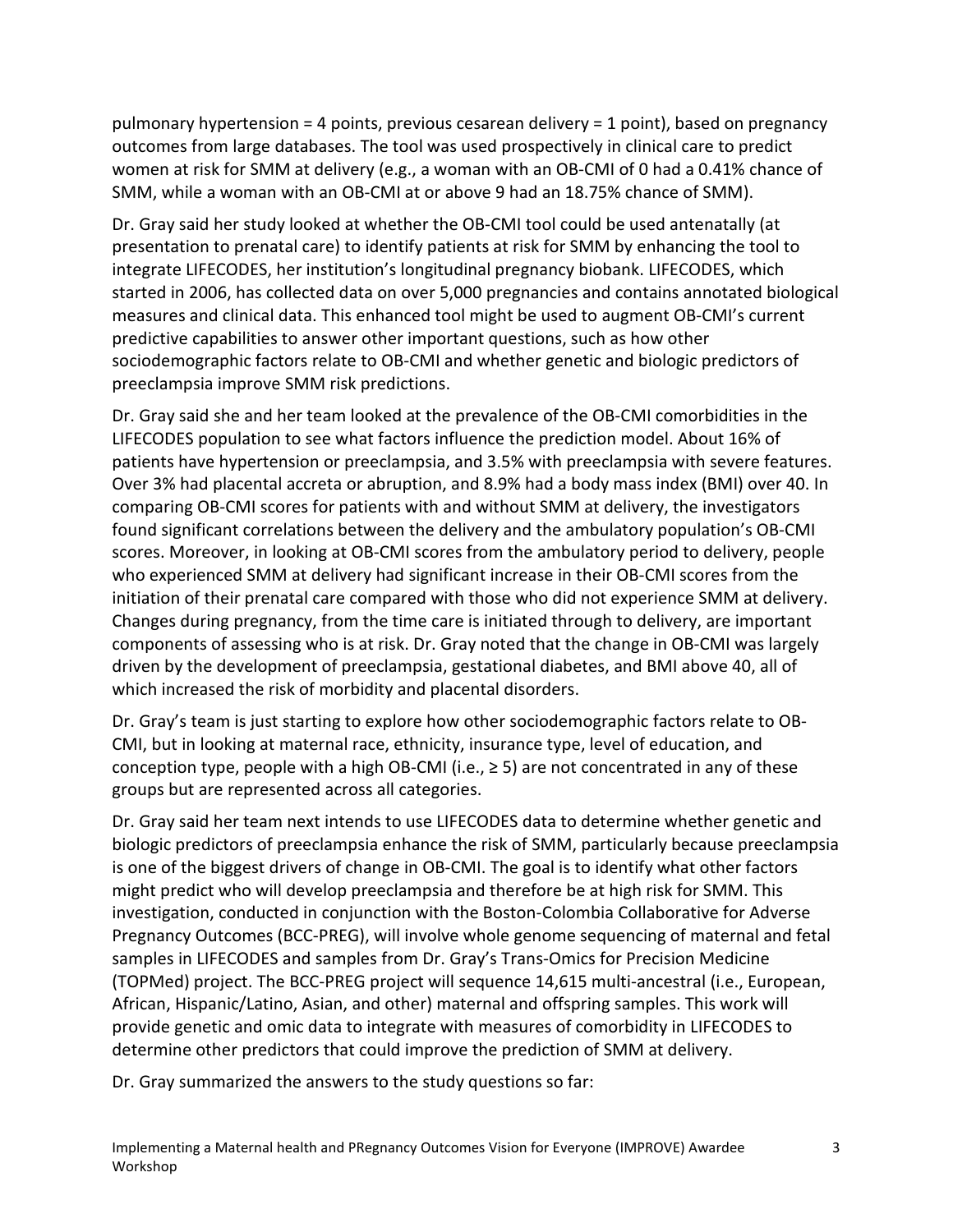pulmonary hypertension = 4 points, previous cesarean delivery = 1 point), based on pregnancy outcomes from large databases. The tool was used prospectively in clinical care to predict women at risk for SMM at delivery (e.g., a woman with an OB-CMI of 0 had a 0.41% chance of SMM, while a woman with an OB-CMI at or above 9 had an 18.75% chance of SMM).

Dr. Gray said her study looked at whether the OB-CMI tool could be used antenatally (at presentation to prenatal care) to identify patients at risk for SMM by enhancing the tool to integrate LIFECODES, her institution's longitudinal pregnancy biobank. LIFECODES, which started in 2006, has collected data on over 5,000 pregnancies and contains annotated biological measures and clinical data. This enhanced tool might be used to augment OB-CMI's current predictive capabilities to answer other important questions, such as how other sociodemographic factors relate to OB-CMI and whether genetic and biologic predictors of preeclampsia improve SMM risk predictions.

Dr. Gray said she and her team looked at the prevalence of the OB-CMI comorbidities in the LIFECODES population to see what factors influence the prediction model. About 16% of patients have hypertension or preeclampsia, and 3.5% with preeclampsia with severe features. Over 3% had placental accreta or abruption, and 8.9% had a body mass index (BMI) over 40. In comparing OB-CMI scores for patients with and without SMM at delivery, the investigators found significant correlations between the delivery and the ambulatory population's OB-CMI scores. Moreover, in looking at OB-CMI scores from the ambulatory period to delivery, people who experienced SMM at delivery had significant increase in their OB-CMI scores from the initiation of their prenatal care compared with those who did not experience SMM at delivery. Changes during pregnancy, from the time care is initiated through to delivery, are important components of assessing who is at risk. Dr. Gray noted that the change in OB-CMI was largely driven by the development of preeclampsia, gestational diabetes, and BMI above 40, all of which increased the risk of morbidity and placental disorders.

Dr. Gray's team is just starting to explore how other sociodemographic factors relate to OB-CMI, but in looking at maternal race, ethnicity, insurance type, level of education, and conception type, people with a high OB-CMI (i.e.,  $\geq$  5) are not concentrated in any of these groups but are represented across all categories.

Dr. Gray said her team next intends to use LIFECODES data to determine whether genetic and biologic predictors of preeclampsia enhance the risk of SMM, particularly because preeclampsia is one of the biggest drivers of change in OB-CMI. The goal is to identify what other factors might predict who will develop preeclampsia and therefore be at high risk for SMM. This investigation, conducted in conjunction with the Boston-Colombia Collaborative for Adverse Pregnancy Outcomes (BCC-PREG), will involve whole genome sequencing of maternal and fetal samples in LIFECODES and samples from Dr. Gray's Trans-Omics for Precision Medicine (TOPMed) project. The BCC-PREG project will sequence 14,615 multi-ancestral (i.e., European, African, Hispanic/Latino, Asian, and other) maternal and offspring samples. This work will provide genetic and omic data to integrate with measures of comorbidity in LIFECODES to determine other predictors that could improve the prediction of SMM at delivery.

Dr. Gray summarized the answers to the study questions so far: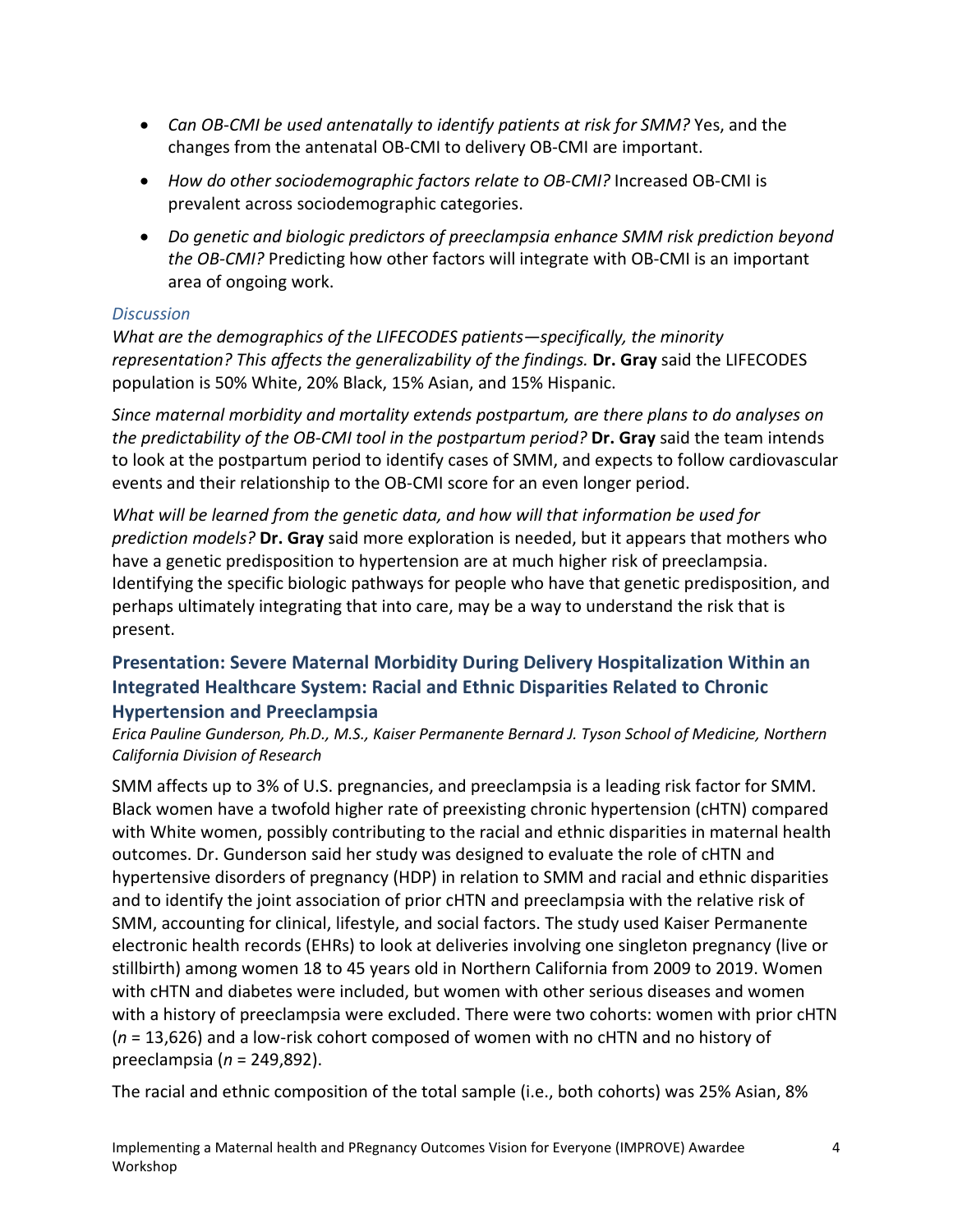- *Can OB-CMI be used antenatally to identify patients at risk for SMM?* Yes, and the changes from the antenatal OB-CMI to delivery OB-CMI are important.
- *How do other sociodemographic factors relate to OB-CMI?* Increased OB-CMI is prevalent across sociodemographic categories.
- *Do genetic and biologic predictors of preeclampsia enhance SMM risk prediction beyond the OB-CMI?* Predicting how other factors will integrate with OB-CMI is an important area of ongoing work.

# *Discussion*

*What are the demographics of the LIFECODES patients—specifically, the minority representation? This affects the generalizability of the findings.* **Dr. Gray** said the LIFECODES population is 50% White, 20% Black, 15% Asian, and 15% Hispanic.

*Since maternal morbidity and mortality extends postpartum, are there plans to do analyses on the predictability of the OB-CMI tool in the postpartum period?* **Dr. Gray** said the team intends to look at the postpartum period to identify cases of SMM, and expects to follow cardiovascular events and their relationship to the OB-CMI score for an even longer period.

*What will be learned from the genetic data, and how will that information be used for prediction models?* **Dr. Gray** said more exploration is needed, but it appears that mothers who have a genetic predisposition to hypertension are at much higher risk of preeclampsia. Identifying the specific biologic pathways for people who have that genetic predisposition, and perhaps ultimately integrating that into care, may be a way to understand the risk that is present.

# **Presentation: Severe Maternal Morbidity During Delivery Hospitalization Within an Integrated Healthcare System: Racial and Ethnic Disparities Related to Chronic**

# **Hypertension and Preeclampsia**

*Erica Pauline Gunderson, Ph.D., M.S., Kaiser Permanente Bernard J. Tyson School of Medicine, Northern California Division of Research*

SMM affects up to 3% of U.S. pregnancies, and preeclampsia is a leading risk factor for SMM. Black women have a twofold higher rate of preexisting chronic hypertension (cHTN) compared with White women, possibly contributing to the racial and ethnic disparities in maternal health outcomes. Dr. Gunderson said her study was designed to evaluate the role of cHTN and hypertensive disorders of pregnancy (HDP) in relation to SMM and racial and ethnic disparities and to identify the joint association of prior cHTN and preeclampsia with the relative risk of SMM, accounting for clinical, lifestyle, and social factors. The study used Kaiser Permanente electronic health records (EHRs) to look at deliveries involving one singleton pregnancy (live or stillbirth) among women 18 to 45 years old in Northern California from 2009 to 2019. Women with cHTN and diabetes were included, but women with other serious diseases and women with a history of preeclampsia were excluded. There were two cohorts: women with prior cHTN (*n* = 13,626) and a low-risk cohort composed of women with no cHTN and no history of preeclampsia (*n* = 249,892).

The racial and ethnic composition of the total sample (i.e., both cohorts) was 25% Asian, 8%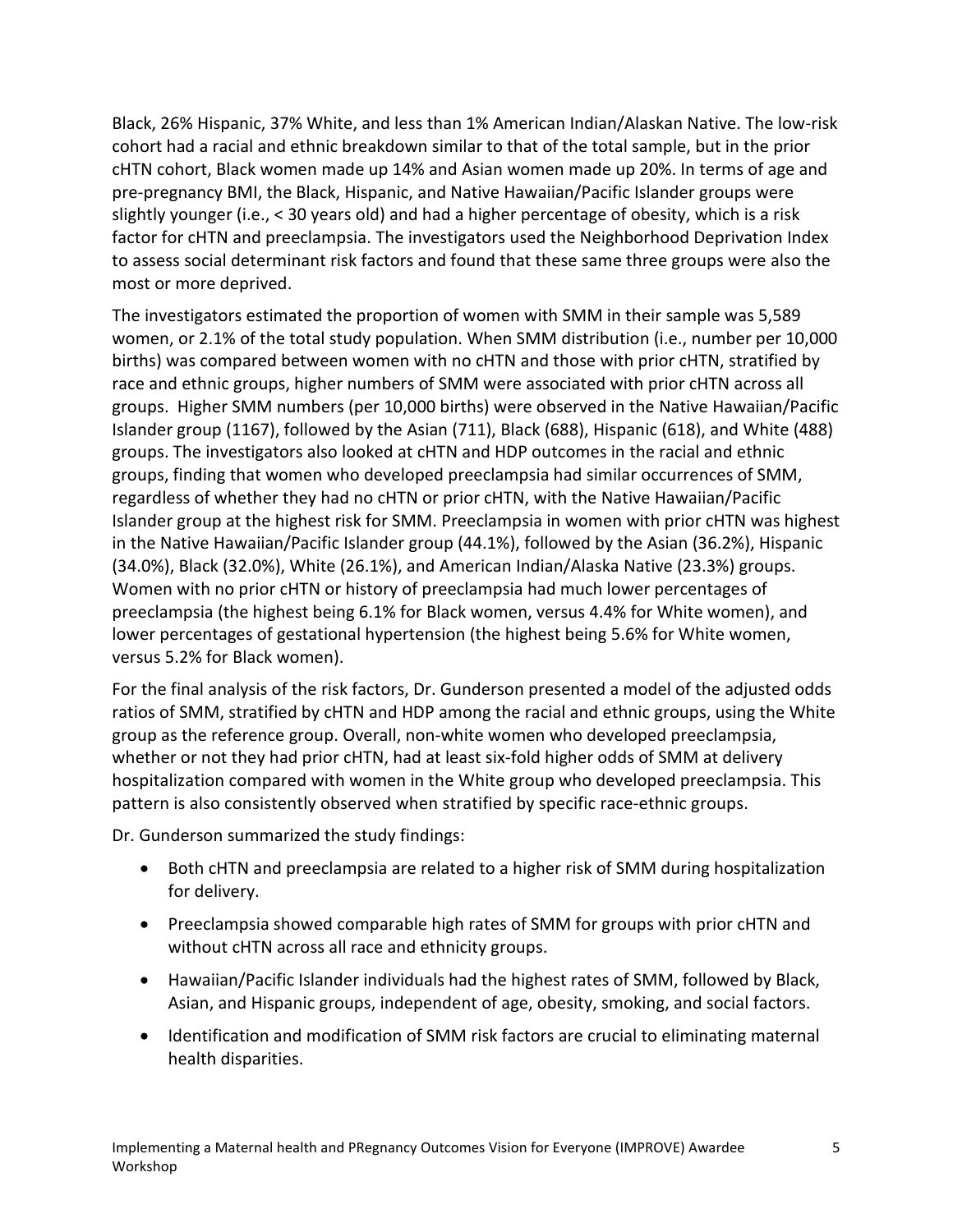Black, 26% Hispanic, 37% White, and less than 1% American Indian/Alaskan Native. The low-risk cohort had a racial and ethnic breakdown similar to that of the total sample, but in the prior cHTN cohort, Black women made up 14% and Asian women made up 20%. In terms of age and pre-pregnancy BMI, the Black, Hispanic, and Native Hawaiian/Pacific Islander groups were slightly younger (i.e., < 30 years old) and had a higher percentage of obesity, which is a risk factor for cHTN and preeclampsia. The investigators used the Neighborhood Deprivation Index to assess social determinant risk factors and found that these same three groups were also the most or more deprived.

The investigators estimated the proportion of women with SMM in their sample was 5,589 women, or 2.1% of the total study population. When SMM distribution (i.e., number per 10,000 births) was compared between women with no cHTN and those with prior cHTN, stratified by race and ethnic groups, higher numbers of SMM were associated with prior cHTN across all groups. Higher SMM numbers (per 10,000 births) were observed in the Native Hawaiian/Pacific Islander group (1167), followed by the Asian (711), Black (688), Hispanic (618), and White (488) groups. The investigators also looked at cHTN and HDP outcomes in the racial and ethnic groups, finding that women who developed preeclampsia had similar occurrences of SMM, regardless of whether they had no cHTN or prior cHTN, with the Native Hawaiian/Pacific Islander group at the highest risk for SMM. Preeclampsia in women with prior cHTN was highest in the Native Hawaiian/Pacific Islander group (44.1%), followed by the Asian (36.2%), Hispanic (34.0%), Black (32.0%), White (26.1%), and American Indian/Alaska Native (23.3%) groups. Women with no prior cHTN or history of preeclampsia had much lower percentages of preeclampsia (the highest being 6.1% for Black women, versus 4.4% for White women), and lower percentages of gestational hypertension (the highest being 5.6% for White women, versus 5.2% for Black women).

For the final analysis of the risk factors, Dr. Gunderson presented a model of the adjusted odds ratios of SMM, stratified by cHTN and HDP among the racial and ethnic groups, using the White group as the reference group. Overall, non-white women who developed preeclampsia, whether or not they had prior cHTN, had at least six-fold higher odds of SMM at delivery hospitalization compared with women in the White group who developed preeclampsia. This pattern is also consistently observed when stratified by specific race-ethnic groups.

Dr. Gunderson summarized the study findings:

- Both cHTN and preeclampsia are related to a higher risk of SMM during hospitalization for delivery.
- Preeclampsia showed comparable high rates of SMM for groups with prior cHTN and without cHTN across all race and ethnicity groups.
- Hawaiian/Pacific Islander individuals had the highest rates of SMM, followed by Black, Asian, and Hispanic groups, independent of age, obesity, smoking, and social factors.
- Identification and modification of SMM risk factors are crucial to eliminating maternal health disparities.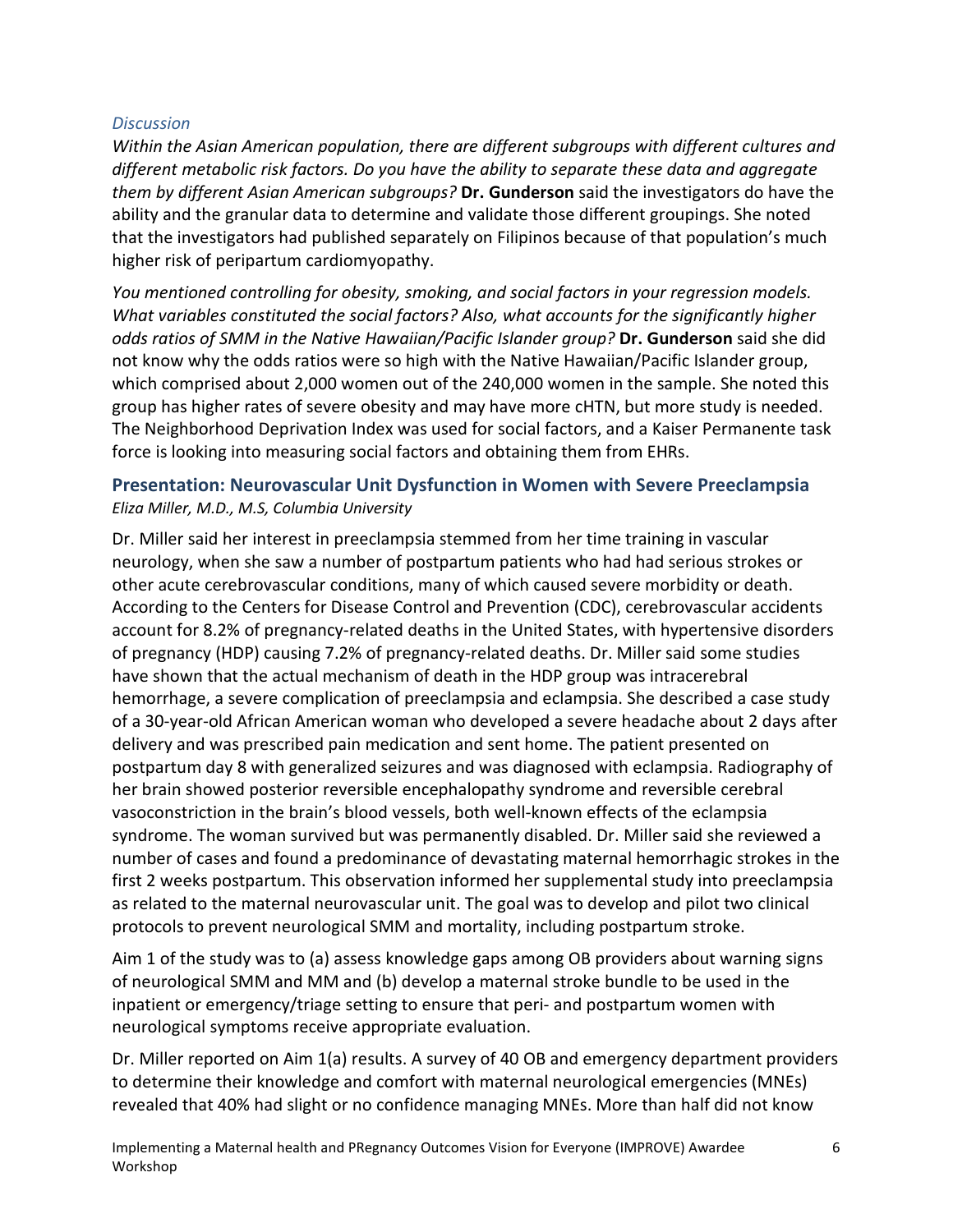### *Discussion*

*Within the Asian American population, there are different subgroups with different cultures and different metabolic risk factors. Do you have the ability to separate these data and aggregate them by different Asian American subgroups?* **Dr. Gunderson** said the investigators do have the ability and the granular data to determine and validate those different groupings. She noted that the investigators had published separately on Filipinos because of that population's much higher risk of peripartum cardiomyopathy.

*You mentioned controlling for obesity, smoking, and social factors in your regression models. What variables constituted the social factors? Also, what accounts for the significantly higher odds ratios of SMM in the Native Hawaiian/Pacific Islander group?* **Dr. Gunderson** said she did not know why the odds ratios were so high with the Native Hawaiian/Pacific Islander group, which comprised about 2,000 women out of the 240,000 women in the sample. She noted this group has higher rates of severe obesity and may have more cHTN, but more study is needed. The Neighborhood Deprivation Index was used for social factors, and a Kaiser Permanente task force is looking into measuring social factors and obtaining them from EHRs.

# **Presentation: Neurovascular Unit Dysfunction in Women with Severe Preeclampsia** *Eliza Miller, M.D., M.S, Columbia University*

Dr. Miller said her interest in preeclampsia stemmed from her time training in vascular neurology, when she saw a number of postpartum patients who had had serious strokes or other acute cerebrovascular conditions, many of which caused severe morbidity or death. According to the Centers for Disease Control and Prevention (CDC), cerebrovascular accidents account for 8.2% of pregnancy-related deaths in the United States, with hypertensive disorders of pregnancy (HDP) causing 7.2% of pregnancy-related deaths. Dr. Miller said some studies have shown that the actual mechanism of death in the HDP group was intracerebral hemorrhage, a severe complication of preeclampsia and eclampsia. She described a case study of a 30-year-old African American woman who developed a severe headache about 2 days after delivery and was prescribed pain medication and sent home. The patient presented on postpartum day 8 with generalized seizures and was diagnosed with eclampsia. Radiography of her brain showed posterior reversible encephalopathy syndrome and reversible cerebral vasoconstriction in the brain's blood vessels, both well-known effects of the eclampsia syndrome. The woman survived but was permanently disabled. Dr. Miller said she reviewed a number of cases and found a predominance of devastating maternal hemorrhagic strokes in the first 2 weeks postpartum. This observation informed her supplemental study into preeclampsia as related to the maternal neurovascular unit. The goal was to develop and pilot two clinical protocols to prevent neurological SMM and mortality, including postpartum stroke.

Aim 1 of the study was to (a) assess knowledge gaps among OB providers about warning signs of neurological SMM and MM and (b) develop a maternal stroke bundle to be used in the inpatient or emergency/triage setting to ensure that peri- and postpartum women with neurological symptoms receive appropriate evaluation.

Dr. Miller reported on Aim 1(a) results. A survey of 40 OB and emergency department providers to determine their knowledge and comfort with maternal neurological emergencies (MNEs) revealed that 40% had slight or no confidence managing MNEs. More than half did not know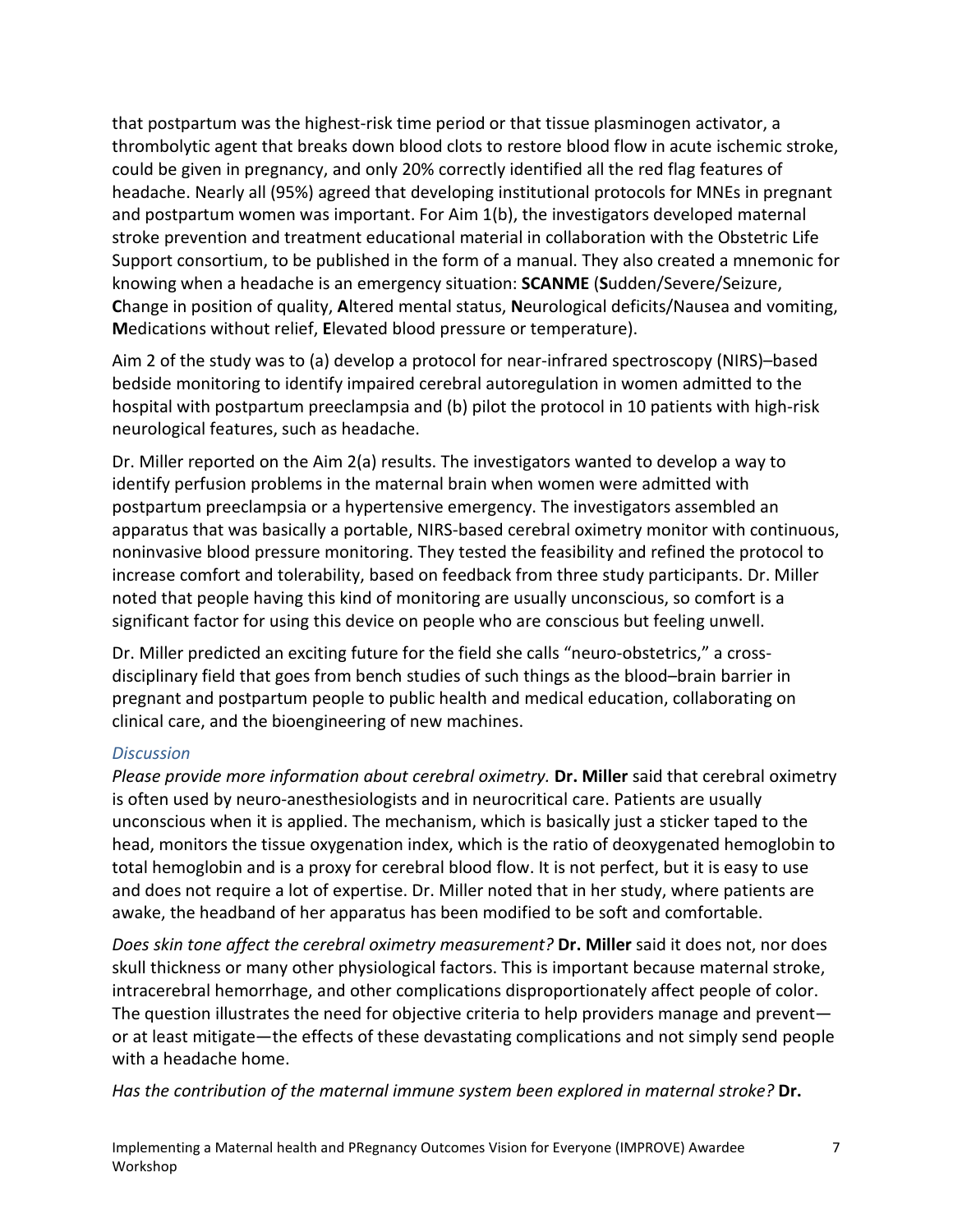that postpartum was the highest-risk time period or that tissue plasminogen activator, a thrombolytic agent that breaks down blood clots to restore blood flow in acute ischemic stroke, could be given in pregnancy, and only 20% correctly identified all the red flag features of headache. Nearly all (95%) agreed that developing institutional protocols for MNEs in pregnant and postpartum women was important. For Aim 1(b), the investigators developed maternal stroke prevention and treatment educational material in collaboration with the Obstetric Life Support consortium, to be published in the form of a manual. They also created a mnemonic for knowing when a headache is an emergency situation: **SCANME** (**S**udden/Severe/Seizure, **C**hange in position of quality, **A**ltered mental status, **N**eurological deficits/Nausea and vomiting, **M**edications without relief, **E**levated blood pressure or temperature).

Aim 2 of the study was to (a) develop a protocol for near-infrared spectroscopy (NIRS)–based bedside monitoring to identify impaired cerebral autoregulation in women admitted to the hospital with postpartum preeclampsia and (b) pilot the protocol in 10 patients with high-risk neurological features, such as headache.

Dr. Miller reported on the Aim 2(a) results. The investigators wanted to develop a way to identify perfusion problems in the maternal brain when women were admitted with postpartum preeclampsia or a hypertensive emergency. The investigators assembled an apparatus that was basically a portable, NIRS-based cerebral oximetry monitor with continuous, noninvasive blood pressure monitoring. They tested the feasibility and refined the protocol to increase comfort and tolerability, based on feedback from three study participants. Dr. Miller noted that people having this kind of monitoring are usually unconscious, so comfort is a significant factor for using this device on people who are conscious but feeling unwell.

Dr. Miller predicted an exciting future for the field she calls "neuro-obstetrics," a crossdisciplinary field that goes from bench studies of such things as the blood–brain barrier in pregnant and postpartum people to public health and medical education, collaborating on clinical care, and the bioengineering of new machines.

#### *Discussion*

*Please provide more information about cerebral oximetry.* **Dr. Miller** said that cerebral oximetry is often used by neuro-anesthesiologists and in neurocritical care. Patients are usually unconscious when it is applied. The mechanism, which is basically just a sticker taped to the head, monitors the tissue oxygenation index, which is the ratio of deoxygenated hemoglobin to total hemoglobin and is a proxy for cerebral blood flow. It is not perfect, but it is easy to use and does not require a lot of expertise. Dr. Miller noted that in her study, where patients are awake, the headband of her apparatus has been modified to be soft and comfortable.

*Does skin tone affect the cerebral oximetry measurement?* **Dr. Miller** said it does not, nor does skull thickness or many other physiological factors. This is important because maternal stroke, intracerebral hemorrhage, and other complications disproportionately affect people of color. The question illustrates the need for objective criteria to help providers manage and prevent or at least mitigate—the effects of these devastating complications and not simply send people with a headache home.

*Has the contribution of the maternal immune system been explored in maternal stroke?* **Dr.**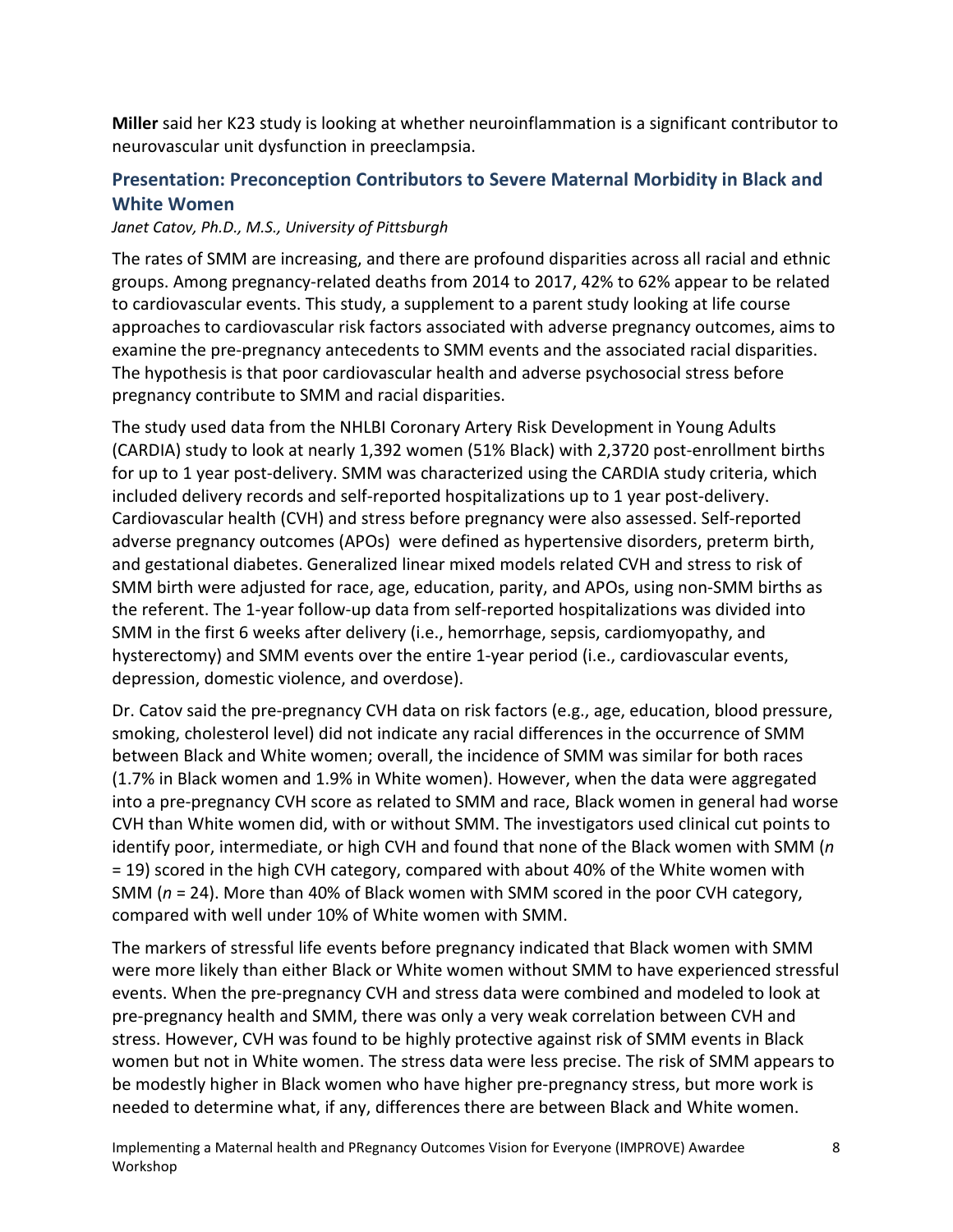**Miller** said her K23 study is looking at whether neuroinflammation is a significant contributor to neurovascular unit dysfunction in preeclampsia.

# **Presentation: Preconception Contributors to Severe Maternal Morbidity in Black and White Women**

### *Janet Catov, Ph.D., M.S., University of Pittsburgh*

The rates of SMM are increasing, and there are profound disparities across all racial and ethnic groups. Among pregnancy-related deaths from 2014 to 2017, 42% to 62% appear to be related to cardiovascular events. This study, a supplement to a parent study looking at life course approaches to cardiovascular risk factors associated with adverse pregnancy outcomes, aims to examine the pre-pregnancy antecedents to SMM events and the associated racial disparities. The hypothesis is that poor cardiovascular health and adverse psychosocial stress before pregnancy contribute to SMM and racial disparities.

The study used data from the NHLBI Coronary Artery Risk Development in Young Adults (CARDIA) study to look at nearly 1,392 women (51% Black) with 2,3720 post-enrollment births for up to 1 year post-delivery. SMM was characterized using the CARDIA study criteria, which included delivery records and self-reported hospitalizations up to 1 year post-delivery. Cardiovascular health (CVH) and stress before pregnancy were also assessed. Self-reported adverse pregnancy outcomes (APOs) were defined as hypertensive disorders, preterm birth, and gestational diabetes. Generalized linear mixed models related CVH and stress to risk of SMM birth were adjusted for race, age, education, parity, and APOs, using non-SMM births as the referent. The 1-year follow-up data from self-reported hospitalizations was divided into SMM in the first 6 weeks after delivery (i.e., hemorrhage, sepsis, cardiomyopathy, and hysterectomy) and SMM events over the entire 1-year period (i.e., cardiovascular events, depression, domestic violence, and overdose).

Dr. Catov said the pre-pregnancy CVH data on risk factors (e.g., age, education, blood pressure, smoking, cholesterol level) did not indicate any racial differences in the occurrence of SMM between Black and White women; overall, the incidence of SMM was similar for both races (1.7% in Black women and 1.9% in White women). However, when the data were aggregated into a pre-pregnancy CVH score as related to SMM and race, Black women in general had worse CVH than White women did, with or without SMM. The investigators used clinical cut points to identify poor, intermediate, or high CVH and found that none of the Black women with SMM (*n* = 19) scored in the high CVH category, compared with about 40% of the White women with SMM (*n* = 24). More than 40% of Black women with SMM scored in the poor CVH category, compared with well under 10% of White women with SMM.

The markers of stressful life events before pregnancy indicated that Black women with SMM were more likely than either Black or White women without SMM to have experienced stressful events. When the pre-pregnancy CVH and stress data were combined and modeled to look at pre-pregnancy health and SMM, there was only a very weak correlation between CVH and stress. However, CVH was found to be highly protective against risk of SMM events in Black women but not in White women. The stress data were less precise. The risk of SMM appears to be modestly higher in Black women who have higher pre-pregnancy stress, but more work is needed to determine what, if any, differences there are between Black and White women.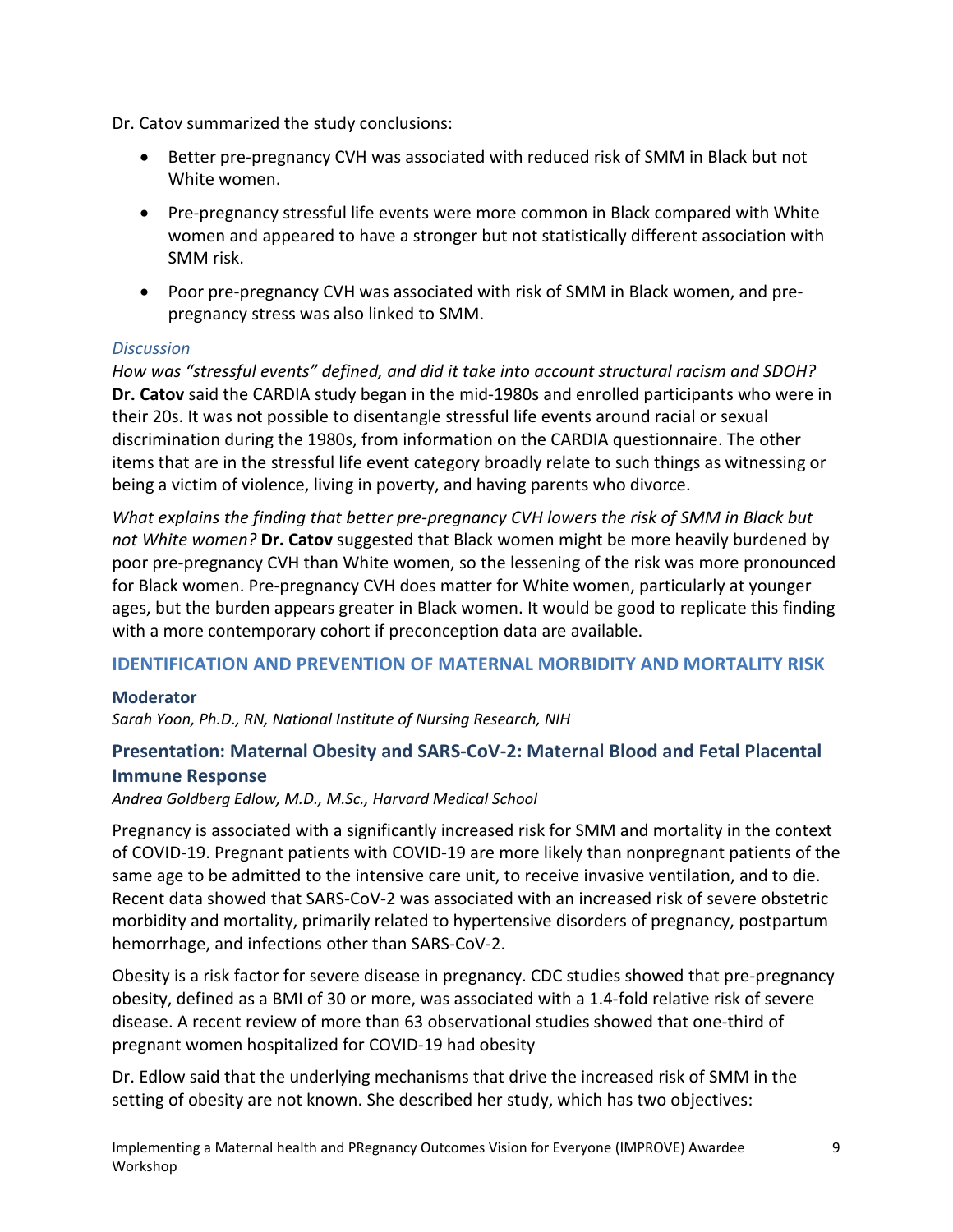Dr. Catov summarized the study conclusions:

- Better pre-pregnancy CVH was associated with reduced risk of SMM in Black but not White women.
- Pre-pregnancy stressful life events were more common in Black compared with White women and appeared to have a stronger but not statistically different association with SMM risk.
- Poor pre-pregnancy CVH was associated with risk of SMM in Black women, and prepregnancy stress was also linked to SMM.

# *Discussion*

*How was "stressful events" defined, and did it take into account structural racism and SDOH?* **Dr. Catov** said the CARDIA study began in the mid-1980s and enrolled participants who were in their 20s. It was not possible to disentangle stressful life events around racial or sexual discrimination during the 1980s, from information on the CARDIA questionnaire. The other items that are in the stressful life event category broadly relate to such things as witnessing or being a victim of violence, living in poverty, and having parents who divorce.

*What explains the finding that better pre-pregnancy CVH lowers the risk of SMM in Black but not White women?* **Dr. Catov** suggested that Black women might be more heavily burdened by poor pre-pregnancy CVH than White women, so the lessening of the risk was more pronounced for Black women. Pre-pregnancy CVH does matter for White women, particularly at younger ages, but the burden appears greater in Black women. It would be good to replicate this finding with a more contemporary cohort if preconception data are available.

# **IDENTIFICATION AND PREVENTION OF MATERNAL MORBIDITY AND MORTALITY RISK**

# **Moderator**

*Sarah Yoon, Ph.D., RN, National Institute of Nursing Research, NIH*

# **Presentation: Maternal Obesity and SARS-CoV-2: Maternal Blood and Fetal Placental Immune Response**

# *Andrea Goldberg Edlow, M.D., M.Sc., Harvard Medical School*

Pregnancy is associated with a significantly increased risk for SMM and mortality in the context of COVID-19. Pregnant patients with COVID-19 are more likely than nonpregnant patients of the same age to be admitted to the intensive care unit, to receive invasive ventilation, and to die. Recent data showed that SARS-CoV-2 was associated with an increased risk of severe obstetric morbidity and mortality, primarily related to hypertensive disorders of pregnancy, postpartum hemorrhage, and infections other than SARS-CoV-2.

Obesity is a risk factor for severe disease in pregnancy. CDC studies showed that pre-pregnancy obesity, defined as a BMI of 30 or more, was associated with a 1.4-fold relative risk of severe disease. A recent review of more than 63 observational studies showed that one-third of pregnant women hospitalized for COVID-19 had obesity

Dr. Edlow said that the underlying mechanisms that drive the increased risk of SMM in the setting of obesity are not known. She described her study, which has two objectives: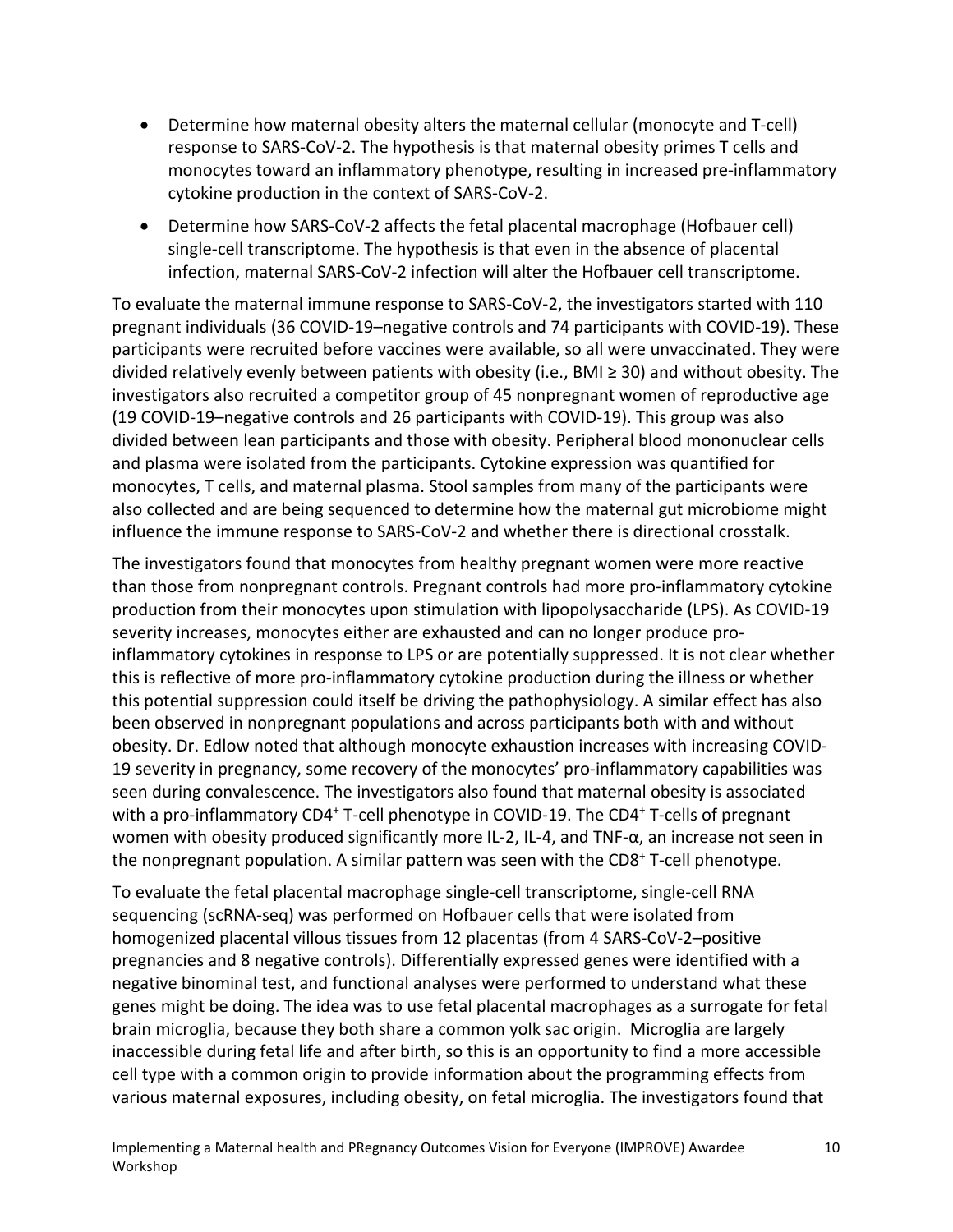- Determine how maternal obesity alters the maternal cellular (monocyte and T-cell) response to SARS-CoV-2. The hypothesis is that maternal obesity primes T cells and monocytes toward an inflammatory phenotype, resulting in increased pre-inflammatory cytokine production in the context of SARS-CoV-2.
- Determine how SARS-CoV-2 affects the fetal placental macrophage (Hofbauer cell) single-cell transcriptome. The hypothesis is that even in the absence of placental infection, maternal SARS-CoV-2 infection will alter the Hofbauer cell transcriptome.

To evaluate the maternal immune response to SARS-CoV-2, the investigators started with 110 pregnant individuals (36 COVID-19–negative controls and 74 participants with COVID-19). These participants were recruited before vaccines were available, so all were unvaccinated. They were divided relatively evenly between patients with obesity (i.e., BMI  $\geq$  30) and without obesity. The investigators also recruited a competitor group of 45 nonpregnant women of reproductive age (19 COVID-19–negative controls and 26 participants with COVID-19). This group was also divided between lean participants and those with obesity. Peripheral blood mononuclear cells and plasma were isolated from the participants. Cytokine expression was quantified for monocytes, T cells, and maternal plasma. Stool samples from many of the participants were also collected and are being sequenced to determine how the maternal gut microbiome might influence the immune response to SARS-CoV-2 and whether there is directional crosstalk.

The investigators found that monocytes from healthy pregnant women were more reactive than those from nonpregnant controls. Pregnant controls had more pro-inflammatory cytokine production from their monocytes upon stimulation with lipopolysaccharide (LPS). As COVID-19 severity increases, monocytes either are exhausted and can no longer produce proinflammatory cytokines in response to LPS or are potentially suppressed. It is not clear whether this is reflective of more pro-inflammatory cytokine production during the illness or whether this potential suppression could itself be driving the pathophysiology. A similar effect has also been observed in nonpregnant populations and across participants both with and without obesity. Dr. Edlow noted that although monocyte exhaustion increases with increasing COVID-19 severity in pregnancy, some recovery of the monocytes' pro-inflammatory capabilities was seen during convalescence. The investigators also found that maternal obesity is associated with a pro-inflammatory CD4<sup>+</sup> T-cell phenotype in COVID-19. The CD4<sup>+</sup> T-cells of pregnant women with obesity produced significantly more IL-2, IL-4, and TNF-α, an increase not seen in the nonpregnant population. A similar pattern was seen with the CD8<sup>+</sup> T-cell phenotype.

To evaluate the fetal placental macrophage single-cell transcriptome, single-cell RNA sequencing (scRNA-seq) was performed on Hofbauer cells that were isolated from homogenized placental villous tissues from 12 placentas (from 4 SARS-CoV-2–positive pregnancies and 8 negative controls). Differentially expressed genes were identified with a negative binominal test, and functional analyses were performed to understand what these genes might be doing. The idea was to use fetal placental macrophages as a surrogate for fetal brain microglia, because they both share a common yolk sac origin. Microglia are largely inaccessible during fetal life and after birth, so this is an opportunity to find a more accessible cell type with a common origin to provide information about the programming effects from various maternal exposures, including obesity, on fetal microglia. The investigators found that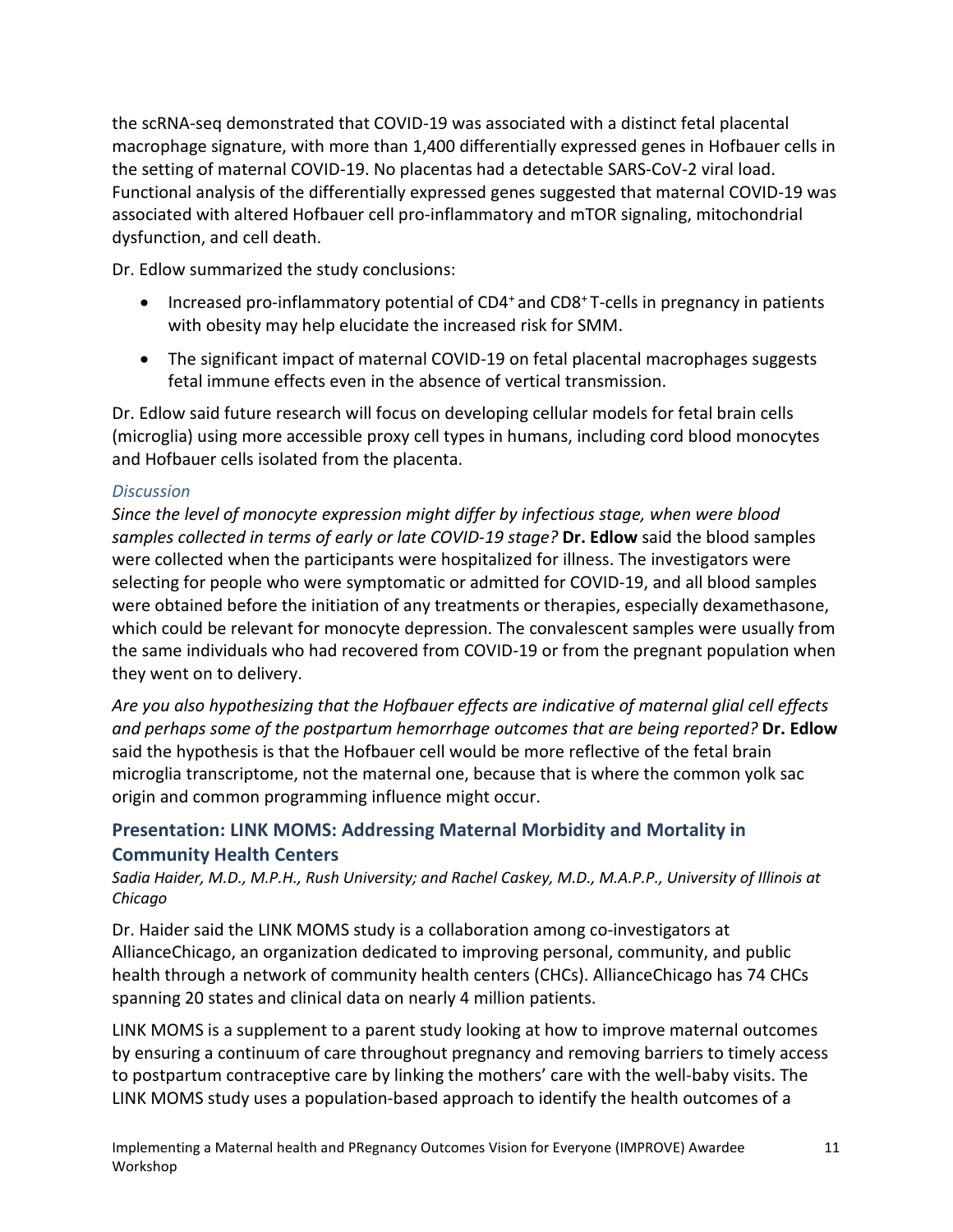the scRNA-seq demonstrated that COVID-19 was associated with a distinct fetal placental macrophage signature, with more than 1,400 differentially expressed genes in Hofbauer cells in the setting of maternal COVID-19. No placentas had a detectable SARS-CoV-2 viral load. Functional analysis of the differentially expressed genes suggested that maternal COVID-19 was associated with altered Hofbauer cell pro-inflammatory and mTOR signaling, mitochondrial dysfunction, and cell death.

Dr. Edlow summarized the study conclusions:

- Increased pro-inflammatory potential of CD4<sup>+</sup> and CD8<sup>+</sup> T-cells in pregnancy in patients with obesity may help elucidate the increased risk for SMM.
- The significant impact of maternal COVID-19 on fetal placental macrophages suggests fetal immune effects even in the absence of vertical transmission.

Dr. Edlow said future research will focus on developing cellular models for fetal brain cells (microglia) using more accessible proxy cell types in humans, including cord blood monocytes and Hofbauer cells isolated from the placenta.

# *Discussion*

*Since the level of monocyte expression might differ by infectious stage, when were blood samples collected in terms of early or late COVID-19 stage?* **Dr. Edlow** said the blood samples were collected when the participants were hospitalized for illness. The investigators were selecting for people who were symptomatic or admitted for COVID-19, and all blood samples were obtained before the initiation of any treatments or therapies, especially dexamethasone, which could be relevant for monocyte depression. The convalescent samples were usually from the same individuals who had recovered from COVID-19 or from the pregnant population when they went on to delivery.

*Are you also hypothesizing that the Hofbauer effects are indicative of maternal glial cell effects and perhaps some of the postpartum hemorrhage outcomes that are being reported?* **Dr. Edlow** said the hypothesis is that the Hofbauer cell would be more reflective of the fetal brain microglia transcriptome, not the maternal one, because that is where the common yolk sac origin and common programming influence might occur.

# **Presentation: LINK MOMS: Addressing Maternal Morbidity and Mortality in Community Health Centers**

# *Sadia Haider, M.D., M.P.H., Rush University; and Rachel Caskey, M.D., M.A.P.P., University of Illinois at Chicago*

Dr. Haider said the LINK MOMS study is a collaboration among co-investigators at AllianceChicago, an organization dedicated to improving personal, community, and public health through a network of community health centers (CHCs). AllianceChicago has 74 CHCs spanning 20 states and clinical data on nearly 4 million patients.

LINK MOMS is a supplement to a parent study looking at how to improve maternal outcomes by ensuring a continuum of care throughout pregnancy and removing barriers to timely access to postpartum contraceptive care by linking the mothers' care with the well-baby visits. The LINK MOMS study uses a population-based approach to identify the health outcomes of a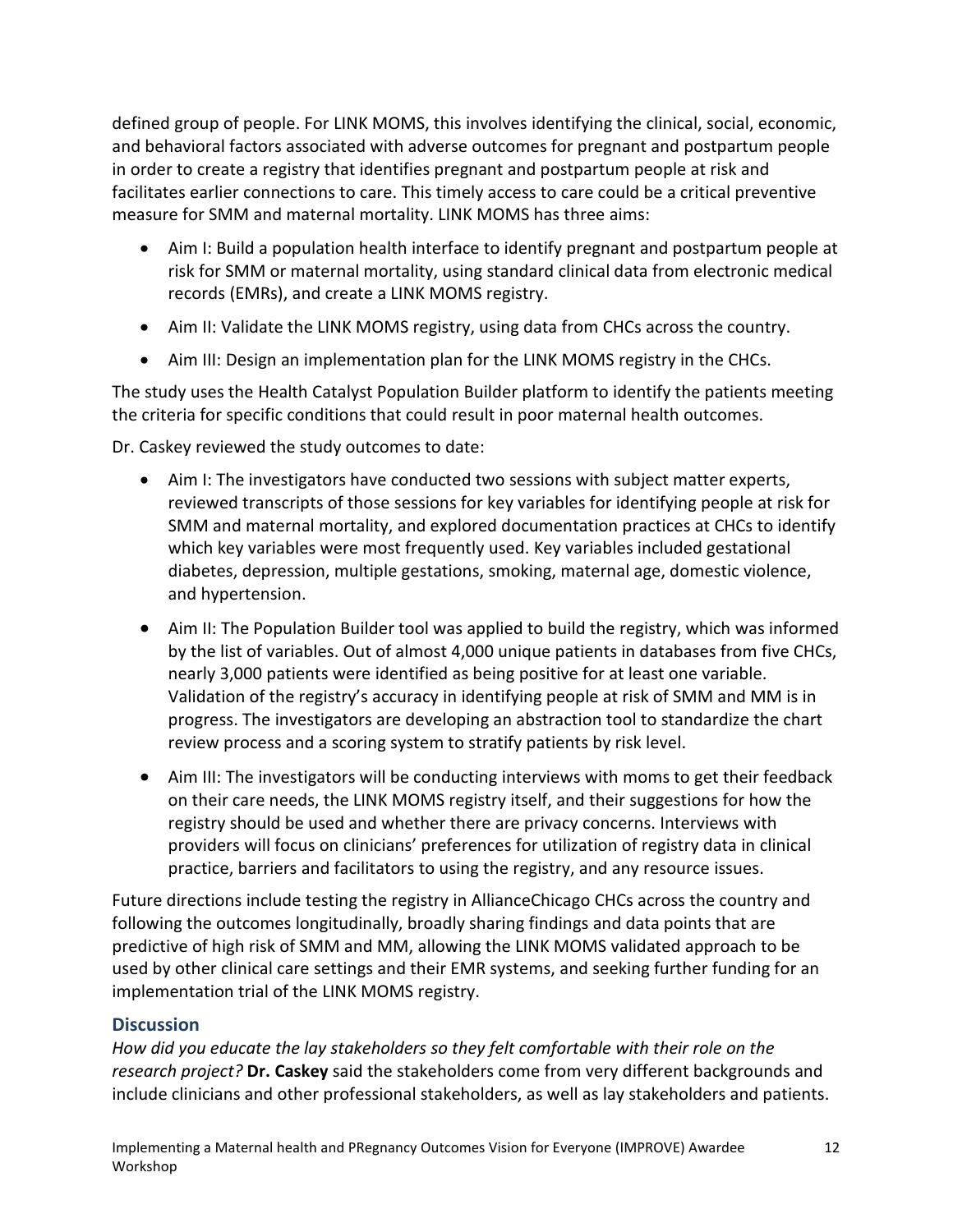defined group of people. For LINK MOMS, this involves identifying the clinical, social, economic, and behavioral factors associated with adverse outcomes for pregnant and postpartum people in order to create a registry that identifies pregnant and postpartum people at risk and facilitates earlier connections to care. This timely access to care could be a critical preventive measure for SMM and maternal mortality. LINK MOMS has three aims:

- Aim I: Build a population health interface to identify pregnant and postpartum people at risk for SMM or maternal mortality, using standard clinical data from electronic medical records (EMRs), and create a LINK MOMS registry.
- Aim II: Validate the LINK MOMS registry, using data from CHCs across the country.
- Aim III: Design an implementation plan for the LINK MOMS registry in the CHCs.

The study uses the Health Catalyst Population Builder platform to identify the patients meeting the criteria for specific conditions that could result in poor maternal health outcomes.

Dr. Caskey reviewed the study outcomes to date:

- Aim I: The investigators have conducted two sessions with subject matter experts, reviewed transcripts of those sessions for key variables for identifying people at risk for SMM and maternal mortality, and explored documentation practices at CHCs to identify which key variables were most frequently used. Key variables included gestational diabetes, depression, multiple gestations, smoking, maternal age, domestic violence, and hypertension.
- Aim II: The Population Builder tool was applied to build the registry, which was informed by the list of variables. Out of almost 4,000 unique patients in databases from five CHCs, nearly 3,000 patients were identified as being positive for at least one variable. Validation of the registry's accuracy in identifying people at risk of SMM and MM is in progress. The investigators are developing an abstraction tool to standardize the chart review process and a scoring system to stratify patients by risk level.
- Aim III: The investigators will be conducting interviews with moms to get their feedback on their care needs, the LINK MOMS registry itself, and their suggestions for how the registry should be used and whether there are privacy concerns. Interviews with providers will focus on clinicians' preferences for utilization of registry data in clinical practice, barriers and facilitators to using the registry, and any resource issues.

Future directions include testing the registry in AllianceChicago CHCs across the country and following the outcomes longitudinally, broadly sharing findings and data points that are predictive of high risk of SMM and MM, allowing the LINK MOMS validated approach to be used by other clinical care settings and their EMR systems, and seeking further funding for an implementation trial of the LINK MOMS registry.

# **Discussion**

*How did you educate the lay stakeholders so they felt comfortable with their role on the research project?* **Dr. Caskey** said the stakeholders come from very different backgrounds and include clinicians and other professional stakeholders, as well as lay stakeholders and patients.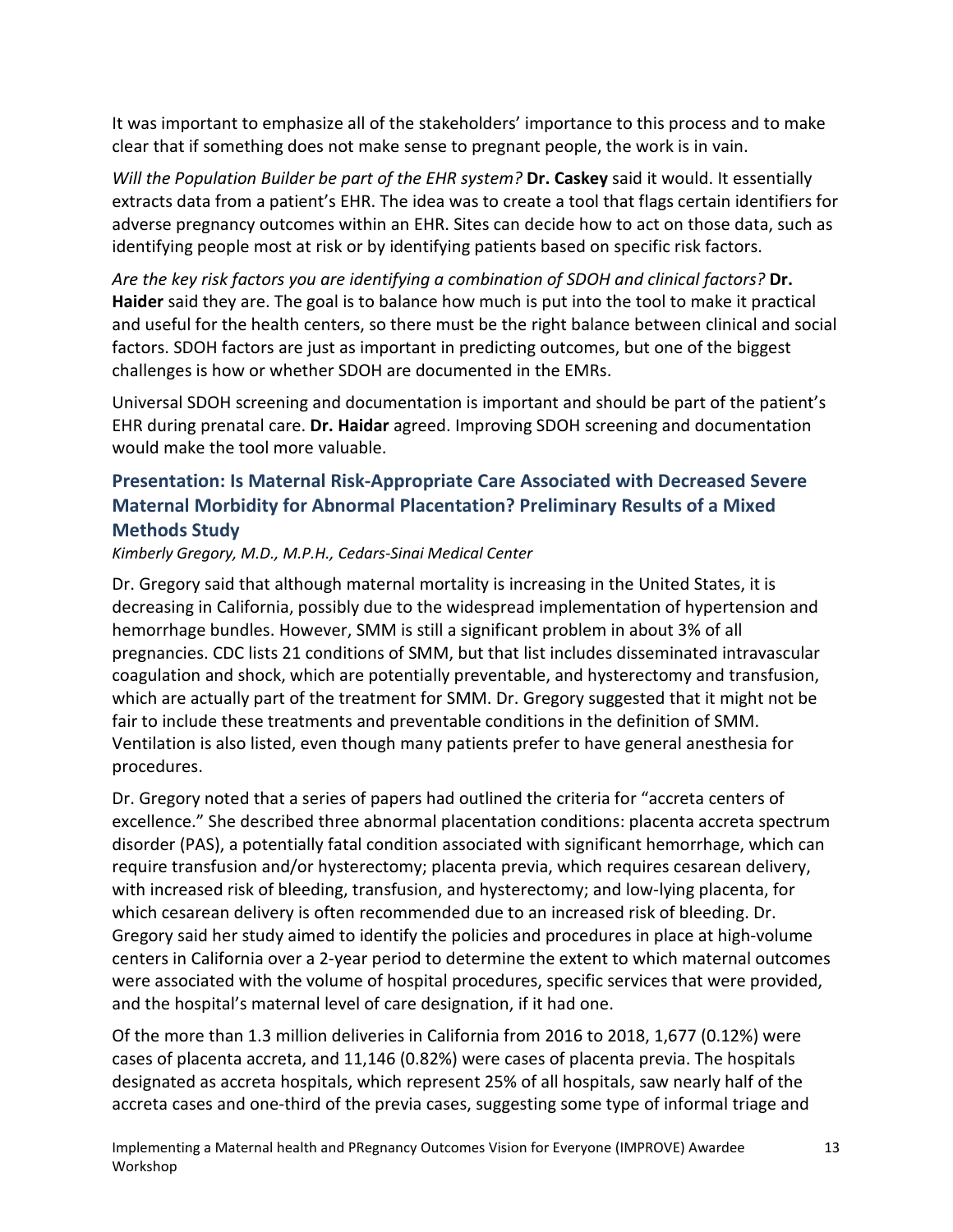It was important to emphasize all of the stakeholders' importance to this process and to make clear that if something does not make sense to pregnant people, the work is in vain.

*Will the Population Builder be part of the EHR system?* **Dr. Caskey** said it would. It essentially extracts data from a patient's EHR. The idea was to create a tool that flags certain identifiers for adverse pregnancy outcomes within an EHR. Sites can decide how to act on those data, such as identifying people most at risk or by identifying patients based on specific risk factors.

*Are the key risk factors you are identifying a combination of SDOH and clinical factors?* **Dr. Haider** said they are. The goal is to balance how much is put into the tool to make it practical and useful for the health centers, so there must be the right balance between clinical and social factors. SDOH factors are just as important in predicting outcomes, but one of the biggest challenges is how or whether SDOH are documented in the EMRs.

Universal SDOH screening and documentation is important and should be part of the patient's EHR during prenatal care. **Dr. Haidar** agreed. Improving SDOH screening and documentation would make the tool more valuable.

# **Presentation: Is Maternal Risk-Appropriate Care Associated with Decreased Severe Maternal Morbidity for Abnormal Placentation? Preliminary Results of a Mixed Methods Study**

# *Kimberly Gregory, M.D., M.P.H., Cedars-Sinai Medical Center*

Dr. Gregory said that although maternal mortality is increasing in the United States, it is decreasing in California, possibly due to the widespread implementation of hypertension and hemorrhage bundles. However, SMM is still a significant problem in about 3% of all pregnancies. CDC lists 21 conditions of SMM, but that list includes disseminated intravascular coagulation and shock, which are potentially preventable, and hysterectomy and transfusion, which are actually part of the treatment for SMM. Dr. Gregory suggested that it might not be fair to include these treatments and preventable conditions in the definition of SMM. Ventilation is also listed, even though many patients prefer to have general anesthesia for procedures.

Dr. Gregory noted that a series of papers had outlined the criteria for "accreta centers of excellence." She described three abnormal placentation conditions: placenta accreta spectrum disorder (PAS), a potentially fatal condition associated with significant hemorrhage, which can require transfusion and/or hysterectomy; placenta previa, which requires cesarean delivery, with increased risk of bleeding, transfusion, and hysterectomy; and low-lying placenta, for which cesarean delivery is often recommended due to an increased risk of bleeding. Dr. Gregory said her study aimed to identify the policies and procedures in place at high-volume centers in California over a 2-year period to determine the extent to which maternal outcomes were associated with the volume of hospital procedures, specific services that were provided, and the hospital's maternal level of care designation, if it had one.

Of the more than 1.3 million deliveries in California from 2016 to 2018, 1,677 (0.12%) were cases of placenta accreta, and 11,146 (0.82%) were cases of placenta previa. The hospitals designated as accreta hospitals, which represent 25% of all hospitals, saw nearly half of the accreta cases and one-third of the previa cases, suggesting some type of informal triage and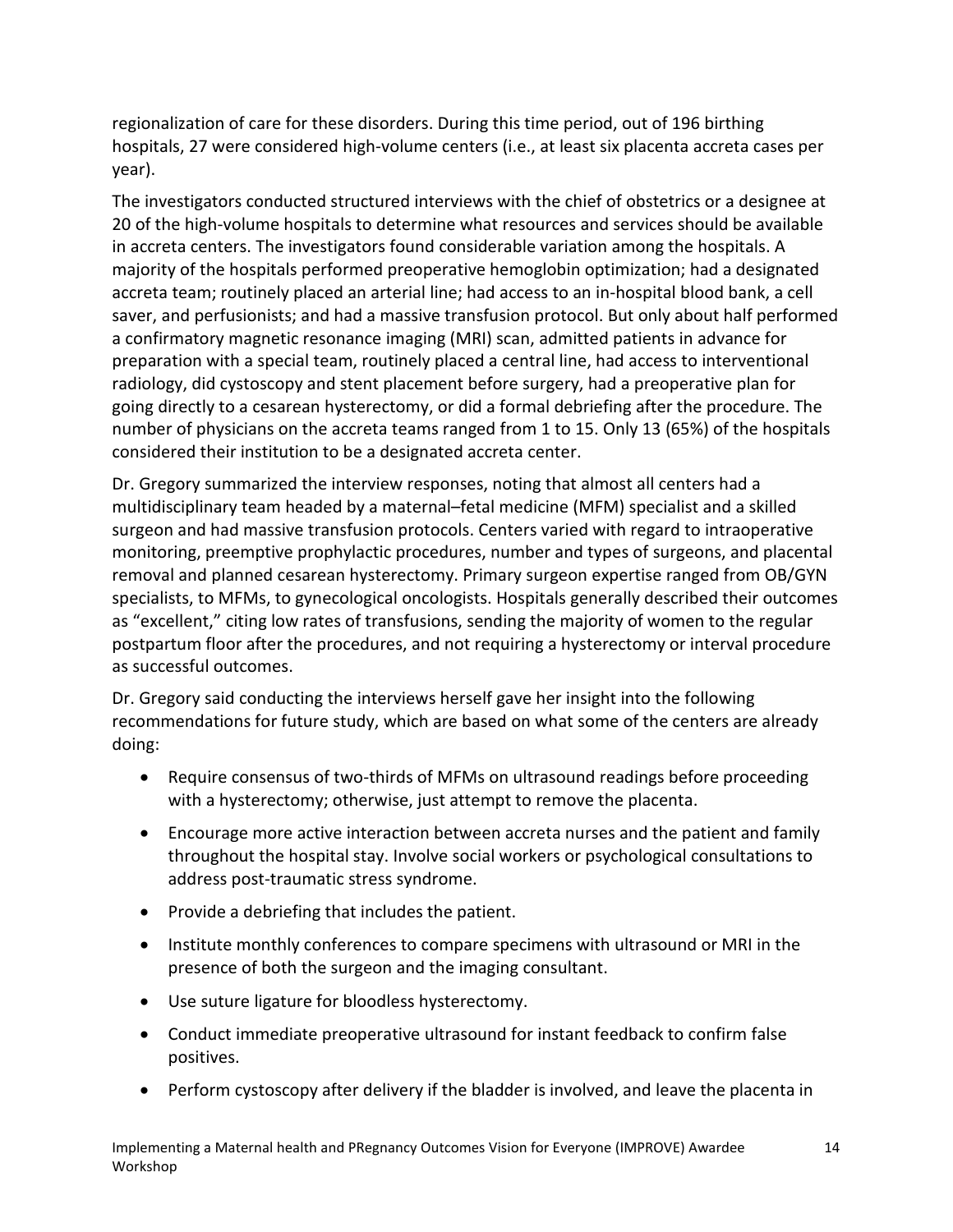regionalization of care for these disorders. During this time period, out of 196 birthing hospitals, 27 were considered high-volume centers (i.e., at least six placenta accreta cases per year).

The investigators conducted structured interviews with the chief of obstetrics or a designee at 20 of the high-volume hospitals to determine what resources and services should be available in accreta centers. The investigators found considerable variation among the hospitals. A majority of the hospitals performed preoperative hemoglobin optimization; had a designated accreta team; routinely placed an arterial line; had access to an in-hospital blood bank, a cell saver, and perfusionists; and had a massive transfusion protocol. But only about half performed a confirmatory magnetic resonance imaging (MRI) scan, admitted patients in advance for preparation with a special team, routinely placed a central line, had access to interventional radiology, did cystoscopy and stent placement before surgery, had a preoperative plan for going directly to a cesarean hysterectomy, or did a formal debriefing after the procedure. The number of physicians on the accreta teams ranged from 1 to 15. Only 13 (65%) of the hospitals considered their institution to be a designated accreta center.

Dr. Gregory summarized the interview responses, noting that almost all centers had a multidisciplinary team headed by a maternal–fetal medicine (MFM) specialist and a skilled surgeon and had massive transfusion protocols. Centers varied with regard to intraoperative monitoring, preemptive prophylactic procedures, number and types of surgeons, and placental removal and planned cesarean hysterectomy. Primary surgeon expertise ranged from OB/GYN specialists, to MFMs, to gynecological oncologists. Hospitals generally described their outcomes as "excellent," citing low rates of transfusions, sending the majority of women to the regular postpartum floor after the procedures, and not requiring a hysterectomy or interval procedure as successful outcomes.

Dr. Gregory said conducting the interviews herself gave her insight into the following recommendations for future study, which are based on what some of the centers are already doing:

- Require consensus of two-thirds of MFMs on ultrasound readings before proceeding with a hysterectomy; otherwise, just attempt to remove the placenta.
- Encourage more active interaction between accreta nurses and the patient and family throughout the hospital stay. Involve social workers or psychological consultations to address post-traumatic stress syndrome.
- Provide a debriefing that includes the patient.
- Institute monthly conferences to compare specimens with ultrasound or MRI in the presence of both the surgeon and the imaging consultant.
- Use suture ligature for bloodless hysterectomy.
- Conduct immediate preoperative ultrasound for instant feedback to confirm false positives.
- Perform cystoscopy after delivery if the bladder is involved, and leave the placenta in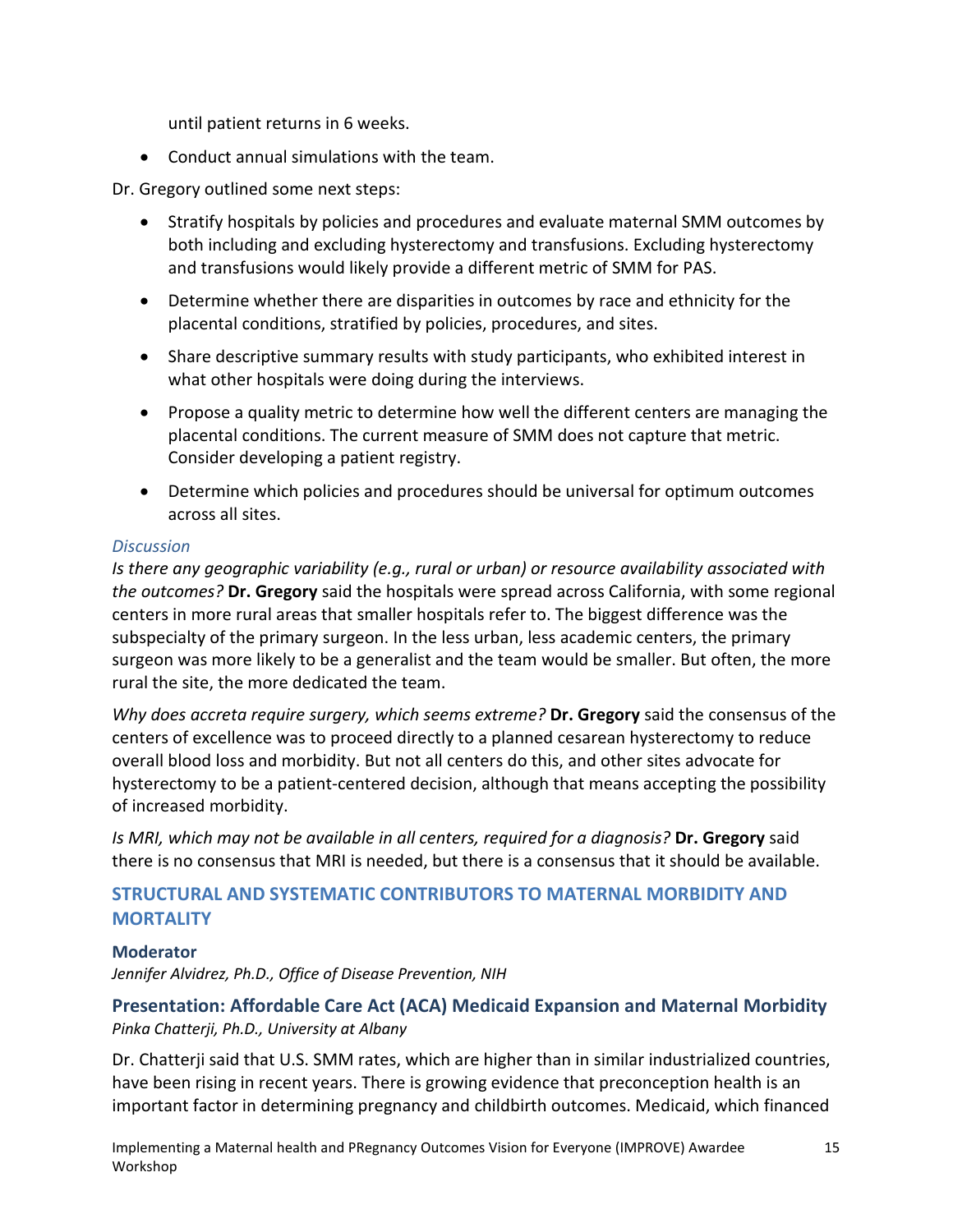until patient returns in 6 weeks.

• Conduct annual simulations with the team.

Dr. Gregory outlined some next steps:

- Stratify hospitals by policies and procedures and evaluate maternal SMM outcomes by both including and excluding hysterectomy and transfusions. Excluding hysterectomy and transfusions would likely provide a different metric of SMM for PAS.
- Determine whether there are disparities in outcomes by race and ethnicity for the placental conditions, stratified by policies, procedures, and sites.
- Share descriptive summary results with study participants, who exhibited interest in what other hospitals were doing during the interviews.
- Propose a quality metric to determine how well the different centers are managing the placental conditions. The current measure of SMM does not capture that metric. Consider developing a patient registry.
- Determine which policies and procedures should be universal for optimum outcomes across all sites.

#### *Discussion*

*Is there any geographic variability (e.g., rural or urban) or resource availability associated with the outcomes?* **Dr. Gregory** said the hospitals were spread across California, with some regional centers in more rural areas that smaller hospitals refer to. The biggest difference was the subspecialty of the primary surgeon. In the less urban, less academic centers, the primary surgeon was more likely to be a generalist and the team would be smaller. But often, the more rural the site, the more dedicated the team.

*Why does accreta require surgery, which seems extreme?* **Dr. Gregory** said the consensus of the centers of excellence was to proceed directly to a planned cesarean hysterectomy to reduce overall blood loss and morbidity. But not all centers do this, and other sites advocate for hysterectomy to be a patient-centered decision, although that means accepting the possibility of increased morbidity.

*Is MRI, which may not be available in all centers, required for a diagnosis?* **Dr. Gregory** said there is no consensus that MRI is needed, but there is a consensus that it should be available.

# **STRUCTURAL AND SYSTEMATIC CONTRIBUTORS TO MATERNAL MORBIDITY AND MORTALITY**

#### **Moderator**

*Jennifer Alvidrez, Ph.D., Office of Disease Prevention, NIH*

### **Presentation: Affordable Care Act (ACA) Medicaid Expansion and Maternal Morbidity** *Pinka Chatterji, Ph.D., University at Albany*

Dr. Chatterji said that U.S. SMM rates, which are higher than in similar industrialized countries, have been rising in recent years. There is growing evidence that preconception health is an important factor in determining pregnancy and childbirth outcomes. Medicaid, which financed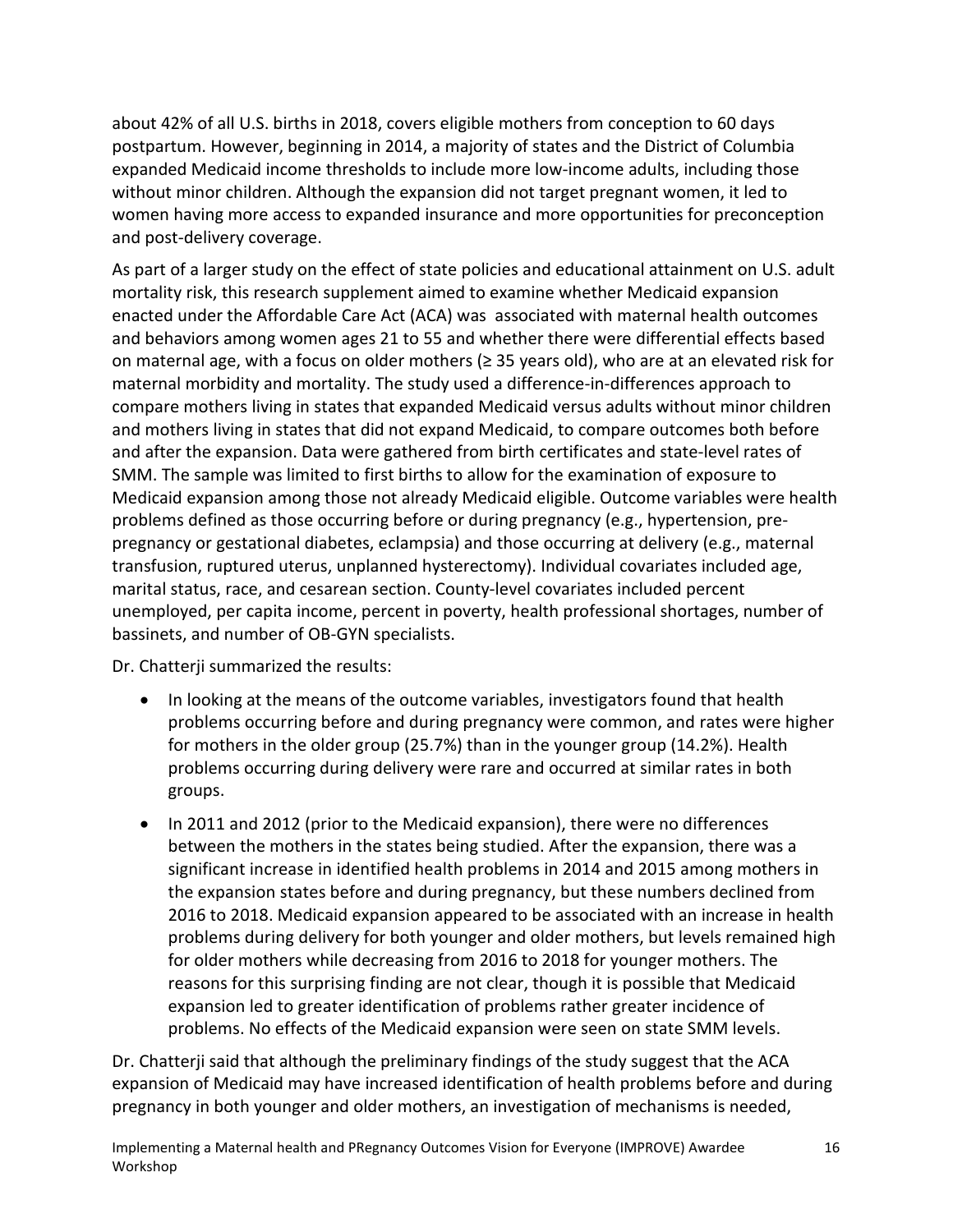about 42% of all U.S. births in 2018, covers eligible mothers from conception to 60 days postpartum. However, beginning in 2014, a majority of states and the District of Columbia expanded Medicaid income thresholds to include more low-income adults, including those without minor children. Although the expansion did not target pregnant women, it led to women having more access to expanded insurance and more opportunities for preconception and post-delivery coverage.

As part of a larger study on the effect of state policies and educational attainment on U.S. adult mortality risk, this research supplement aimed to examine whether Medicaid expansion enacted under the Affordable Care Act (ACA) was associated with maternal health outcomes and behaviors among women ages 21 to 55 and whether there were differential effects based on maternal age, with a focus on older mothers (≥ 35 years old), who are at an elevated risk for maternal morbidity and mortality. The study used a difference-in-differences approach to compare mothers living in states that expanded Medicaid versus adults without minor children and mothers living in states that did not expand Medicaid, to compare outcomes both before and after the expansion. Data were gathered from birth certificates and state-level rates of SMM. The sample was limited to first births to allow for the examination of exposure to Medicaid expansion among those not already Medicaid eligible. Outcome variables were health problems defined as those occurring before or during pregnancy (e.g., hypertension, prepregnancy or gestational diabetes, eclampsia) and those occurring at delivery (e.g., maternal transfusion, ruptured uterus, unplanned hysterectomy). Individual covariates included age, marital status, race, and cesarean section. County-level covariates included percent unemployed, per capita income, percent in poverty, health professional shortages, number of bassinets, and number of OB-GYN specialists.

Dr. Chatterji summarized the results:

- In looking at the means of the outcome variables, investigators found that health problems occurring before and during pregnancy were common, and rates were higher for mothers in the older group (25.7%) than in the younger group (14.2%). Health problems occurring during delivery were rare and occurred at similar rates in both groups.
- In 2011 and 2012 (prior to the Medicaid expansion), there were no differences between the mothers in the states being studied. After the expansion, there was a significant increase in identified health problems in 2014 and 2015 among mothers in the expansion states before and during pregnancy, but these numbers declined from 2016 to 2018. Medicaid expansion appeared to be associated with an increase in health problems during delivery for both younger and older mothers, but levels remained high for older mothers while decreasing from 2016 to 2018 for younger mothers. The reasons for this surprising finding are not clear, though it is possible that Medicaid expansion led to greater identification of problems rather greater incidence of problems. No effects of the Medicaid expansion were seen on state SMM levels.

Dr. Chatterji said that although the preliminary findings of the study suggest that the ACA expansion of Medicaid may have increased identification of health problems before and during pregnancy in both younger and older mothers, an investigation of mechanisms is needed,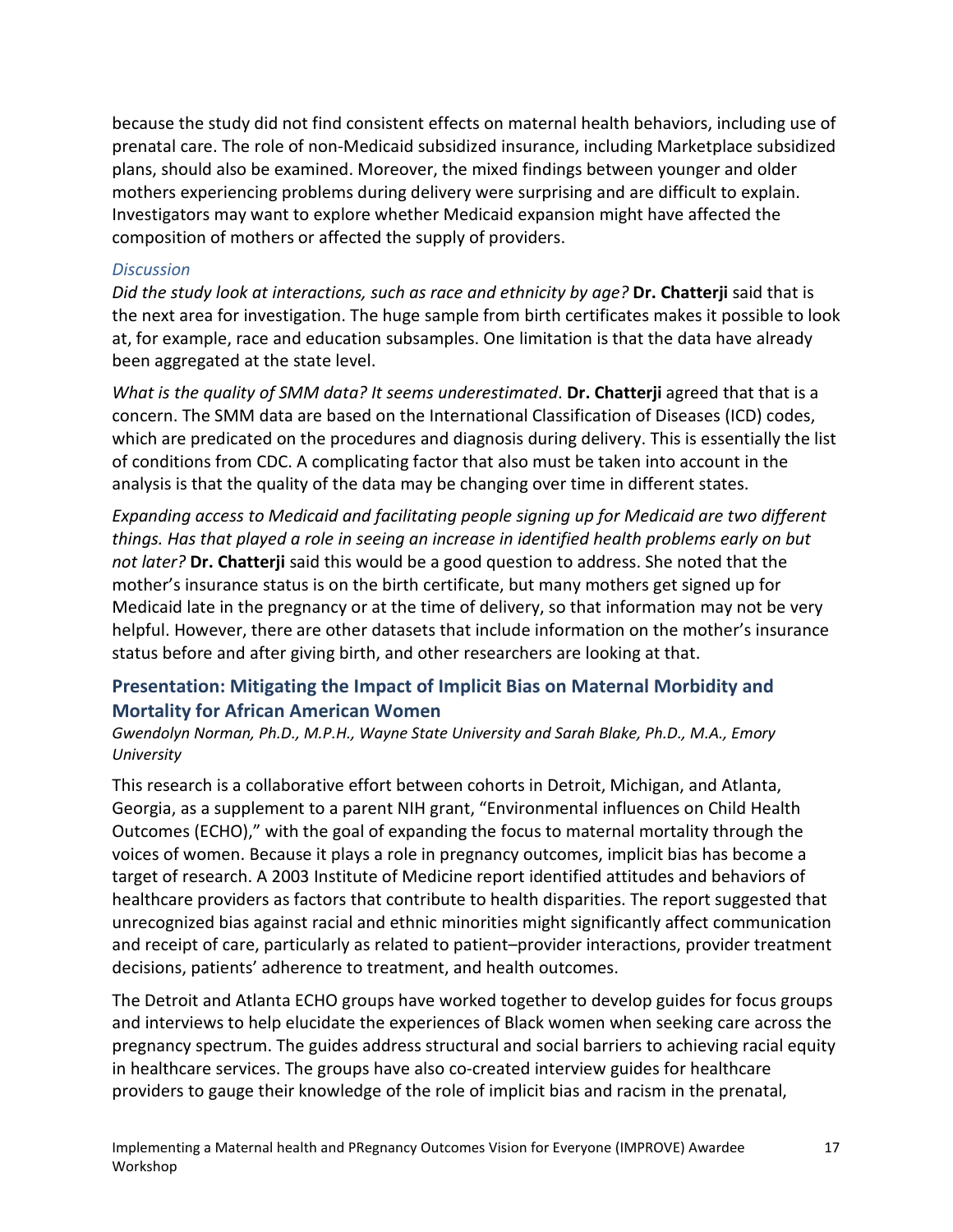because the study did not find consistent effects on maternal health behaviors, including use of prenatal care. The role of non-Medicaid subsidized insurance, including Marketplace subsidized plans, should also be examined. Moreover, the mixed findings between younger and older mothers experiencing problems during delivery were surprising and are difficult to explain. Investigators may want to explore whether Medicaid expansion might have affected the composition of mothers or affected the supply of providers.

#### *Discussion*

*Did the study look at interactions, such as race and ethnicity by age?* **Dr. Chatterji** said that is the next area for investigation. The huge sample from birth certificates makes it possible to look at, for example, race and education subsamples. One limitation is that the data have already been aggregated at the state level.

*What is the quality of SMM data? It seems underestimated*. **Dr. Chatterji** agreed that that is a concern. The SMM data are based on the International Classification of Diseases (ICD) codes, which are predicated on the procedures and diagnosis during delivery. This is essentially the list of conditions from CDC. A complicating factor that also must be taken into account in the analysis is that the quality of the data may be changing over time in different states.

*Expanding access to Medicaid and facilitating people signing up for Medicaid are two different things. Has that played a role in seeing an increase in identified health problems early on but not later?* **Dr. Chatterji** said this would be a good question to address. She noted that the mother's insurance status is on the birth certificate, but many mothers get signed up for Medicaid late in the pregnancy or at the time of delivery, so that information may not be very helpful. However, there are other datasets that include information on the mother's insurance status before and after giving birth, and other researchers are looking at that.

# **Presentation: Mitigating the Impact of Implicit Bias on Maternal Morbidity and Mortality for African American Women**

*Gwendolyn Norman, Ph.D., M.P.H., Wayne State University and Sarah Blake, Ph.D., M.A., Emory University* 

This research is a collaborative effort between cohorts in Detroit, Michigan, and Atlanta, Georgia, as a supplement to a parent NIH grant, "Environmental influences on Child Health Outcomes (ECHO)," with the goal of expanding the focus to maternal mortality through the voices of women. Because it plays a role in pregnancy outcomes, implicit bias has become a target of research. A 2003 Institute of Medicine report identified attitudes and behaviors of healthcare providers as factors that contribute to health disparities. The report suggested that unrecognized bias against racial and ethnic minorities might significantly affect communication and receipt of care, particularly as related to patient–provider interactions, provider treatment decisions, patients' adherence to treatment, and health outcomes.

The Detroit and Atlanta ECHO groups have worked together to develop guides for focus groups and interviews to help elucidate the experiences of Black women when seeking care across the pregnancy spectrum. The guides address structural and social barriers to achieving racial equity in healthcare services. The groups have also co-created interview guides for healthcare providers to gauge their knowledge of the role of implicit bias and racism in the prenatal,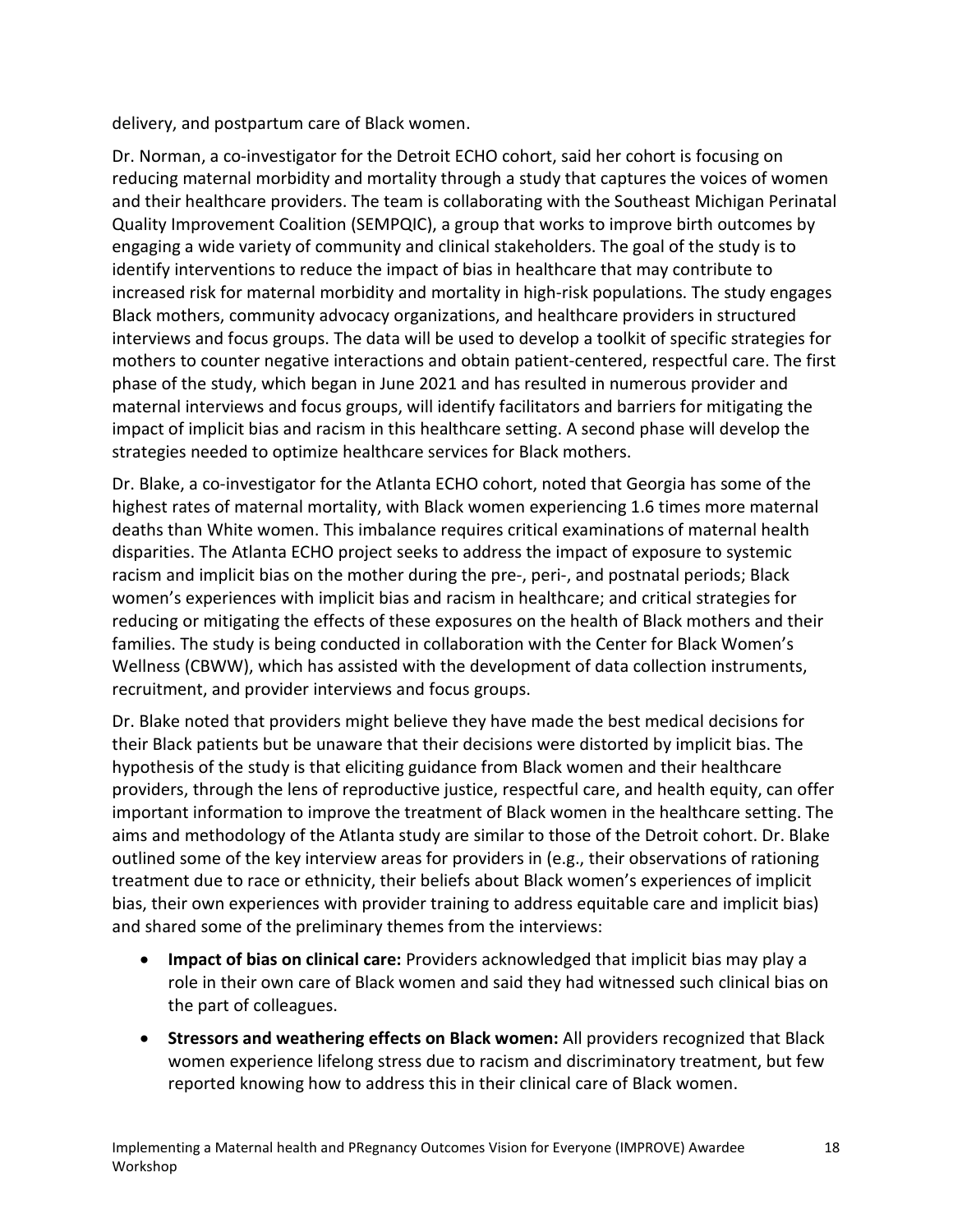delivery, and postpartum care of Black women.

Dr. Norman, a co-investigator for the Detroit ECHO cohort, said her cohort is focusing on reducing maternal morbidity and mortality through a study that captures the voices of women and their healthcare providers. The team is collaborating with the Southeast Michigan Perinatal Quality Improvement Coalition (SEMPQIC), a group that works to improve birth outcomes by engaging a wide variety of community and clinical stakeholders. The goal of the study is to identify interventions to reduce the impact of bias in healthcare that may contribute to increased risk for maternal morbidity and mortality in high-risk populations. The study engages Black mothers, community advocacy organizations, and healthcare providers in structured interviews and focus groups. The data will be used to develop a toolkit of specific strategies for mothers to counter negative interactions and obtain patient-centered, respectful care. The first phase of the study, which began in June 2021 and has resulted in numerous provider and maternal interviews and focus groups, will identify facilitators and barriers for mitigating the impact of implicit bias and racism in this healthcare setting. A second phase will develop the strategies needed to optimize healthcare services for Black mothers.

Dr. Blake, a co-investigator for the Atlanta ECHO cohort, noted that Georgia has some of the highest rates of maternal mortality, with Black women experiencing 1.6 times more maternal deaths than White women. This imbalance requires critical examinations of maternal health disparities. The Atlanta ECHO project seeks to address the impact of exposure to systemic racism and implicit bias on the mother during the pre-, peri-, and postnatal periods; Black women's experiences with implicit bias and racism in healthcare; and critical strategies for reducing or mitigating the effects of these exposures on the health of Black mothers and their families. The study is being conducted in collaboration with the Center for Black Women's Wellness (CBWW), which has assisted with the development of data collection instruments, recruitment, and provider interviews and focus groups.

Dr. Blake noted that providers might believe they have made the best medical decisions for their Black patients but be unaware that their decisions were distorted by implicit bias. The hypothesis of the study is that eliciting guidance from Black women and their healthcare providers, through the lens of reproductive justice, respectful care, and health equity, can offer important information to improve the treatment of Black women in the healthcare setting. The aims and methodology of the Atlanta study are similar to those of the Detroit cohort. Dr. Blake outlined some of the key interview areas for providers in (e.g., their observations of rationing treatment due to race or ethnicity, their beliefs about Black women's experiences of implicit bias, their own experiences with provider training to address equitable care and implicit bias) and shared some of the preliminary themes from the interviews:

- **Impact of bias on clinical care:** Providers acknowledged that implicit bias may play a role in their own care of Black women and said they had witnessed such clinical bias on the part of colleagues.
- **Stressors and weathering effects on Black women:** All providers recognized that Black women experience lifelong stress due to racism and discriminatory treatment, but few reported knowing how to address this in their clinical care of Black women.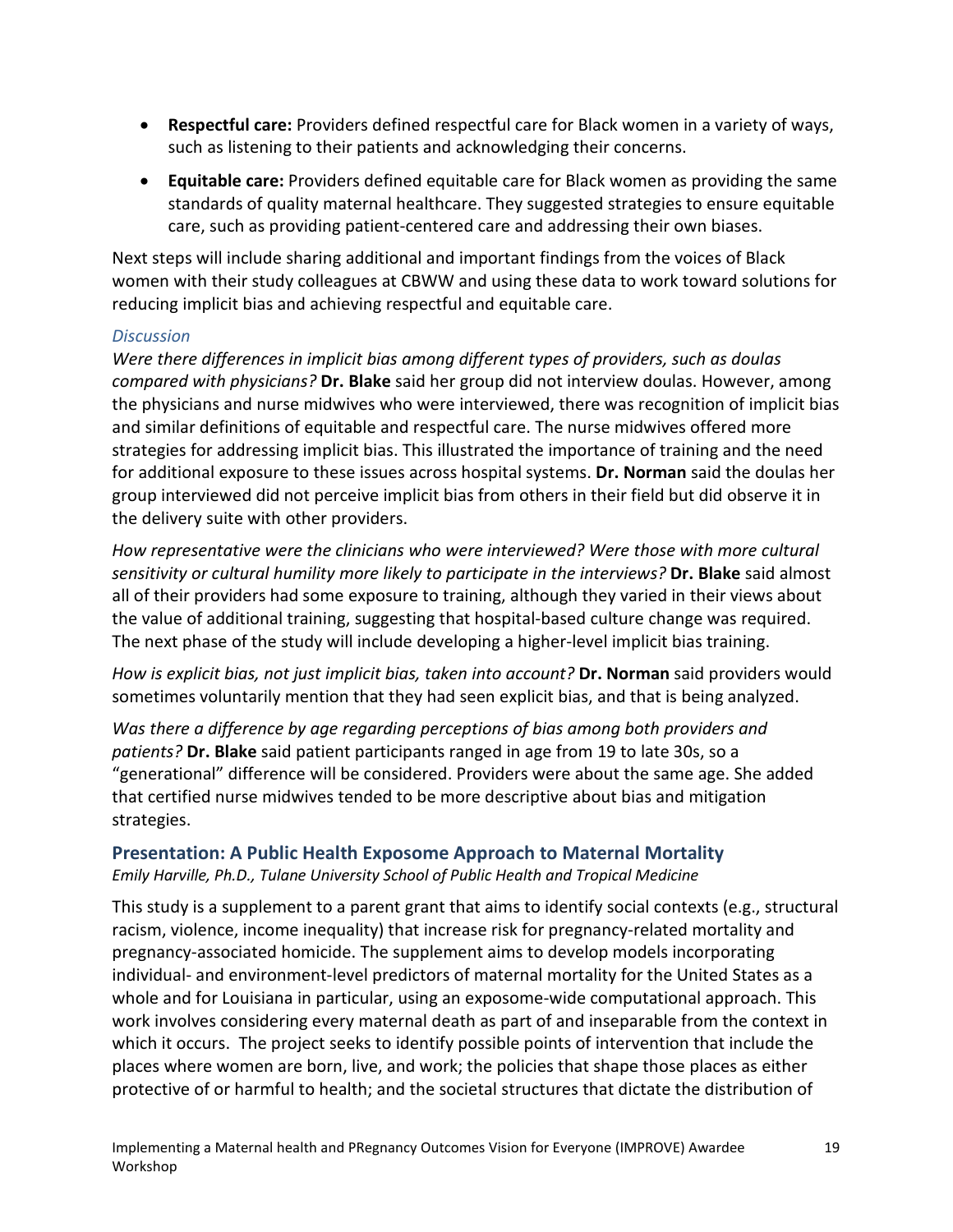- **Respectful care:** Providers defined respectful care for Black women in a variety of ways, such as listening to their patients and acknowledging their concerns.
- **Equitable care:** Providers defined equitable care for Black women as providing the same standards of quality maternal healthcare. They suggested strategies to ensure equitable care, such as providing patient-centered care and addressing their own biases.

Next steps will include sharing additional and important findings from the voices of Black women with their study colleagues at CBWW and using these data to work toward solutions for reducing implicit bias and achieving respectful and equitable care.

### *Discussion*

*Were there differences in implicit bias among different types of providers, such as doulas compared with physicians?* **Dr. Blake** said her group did not interview doulas. However, among the physicians and nurse midwives who were interviewed, there was recognition of implicit bias and similar definitions of equitable and respectful care. The nurse midwives offered more strategies for addressing implicit bias. This illustrated the importance of training and the need for additional exposure to these issues across hospital systems. **Dr. Norman** said the doulas her group interviewed did not perceive implicit bias from others in their field but did observe it in the delivery suite with other providers.

*How representative were the clinicians who were interviewed? Were those with more cultural sensitivity or cultural humility more likely to participate in the interviews?* **Dr. Blake** said almost all of their providers had some exposure to training, although they varied in their views about the value of additional training, suggesting that hospital-based culture change was required. The next phase of the study will include developing a higher-level implicit bias training.

*How is explicit bias, not just implicit bias, taken into account?* **Dr. Norman** said providers would sometimes voluntarily mention that they had seen explicit bias, and that is being analyzed.

*Was there a difference by age regarding perceptions of bias among both providers and patients?* **Dr. Blake** said patient participants ranged in age from 19 to late 30s, so a "generational" difference will be considered. Providers were about the same age. She added that certified nurse midwives tended to be more descriptive about bias and mitigation strategies.

# **Presentation: A Public Health Exposome Approach to Maternal Mortality**

*Emily Harville, Ph.D., Tulane University School of Public Health and Tropical Medicine*

This study is a supplement to a parent grant that aims to identify social contexts (e.g., structural racism, violence, income inequality) that increase risk for pregnancy-related mortality and pregnancy-associated homicide. The supplement aims to develop models incorporating individual- and environment-level predictors of maternal mortality for the United States as a whole and for Louisiana in particular, using an exposome-wide computational approach. This work involves considering every maternal death as part of and inseparable from the context in which it occurs. The project seeks to identify possible points of intervention that include the places where women are born, live, and work; the policies that shape those places as either protective of or harmful to health; and the societal structures that dictate the distribution of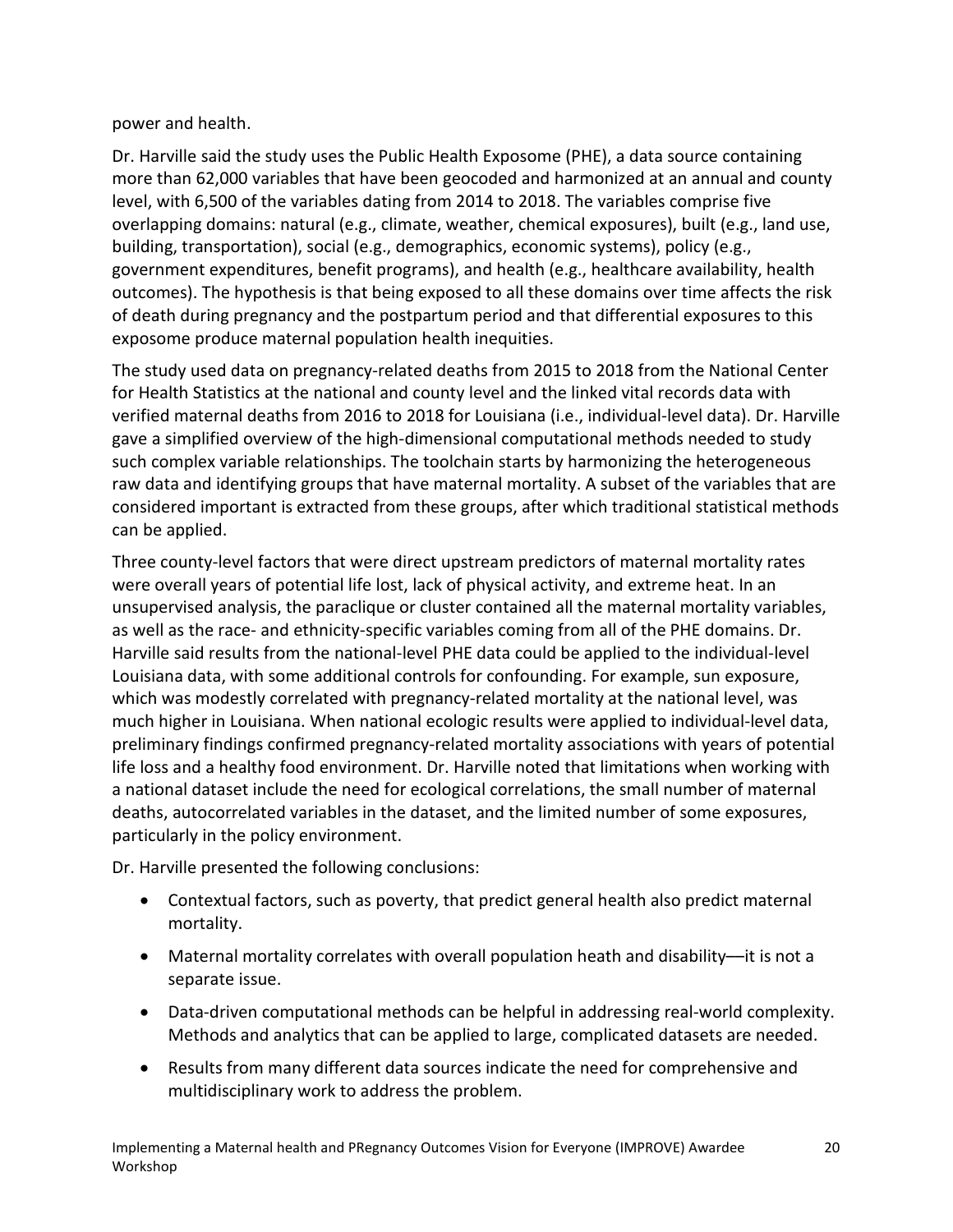power and health.

Dr. Harville said the study uses the Public Health Exposome (PHE), a data source containing more than 62,000 variables that have been geocoded and harmonized at an annual and county level, with 6,500 of the variables dating from 2014 to 2018. The variables comprise five overlapping domains: natural (e.g., climate, weather, chemical exposures), built (e.g., land use, building, transportation), social (e.g., demographics, economic systems), policy (e.g., government expenditures, benefit programs), and health (e.g., healthcare availability, health outcomes). The hypothesis is that being exposed to all these domains over time affects the risk of death during pregnancy and the postpartum period and that differential exposures to this exposome produce maternal population health inequities.

The study used data on pregnancy-related deaths from 2015 to 2018 from the National Center for Health Statistics at the national and county level and the linked vital records data with verified maternal deaths from 2016 to 2018 for Louisiana (i.e., individual-level data). Dr. Harville gave a simplified overview of the high-dimensional computational methods needed to study such complex variable relationships. The toolchain starts by harmonizing the heterogeneous raw data and identifying groups that have maternal mortality. A subset of the variables that are considered important is extracted from these groups, after which traditional statistical methods can be applied.

Three county-level factors that were direct upstream predictors of maternal mortality rates were overall years of potential life lost, lack of physical activity, and extreme heat. In an unsupervised analysis, the paraclique or cluster contained all the maternal mortality variables, as well as the race- and ethnicity-specific variables coming from all of the PHE domains. Dr. Harville said results from the national-level PHE data could be applied to the individual-level Louisiana data, with some additional controls for confounding. For example, sun exposure, which was modestly correlated with pregnancy-related mortality at the national level, was much higher in Louisiana. When national ecologic results were applied to individual-level data, preliminary findings confirmed pregnancy-related mortality associations with years of potential life loss and a healthy food environment. Dr. Harville noted that limitations when working with a national dataset include the need for ecological correlations, the small number of maternal deaths, autocorrelated variables in the dataset, and the limited number of some exposures, particularly in the policy environment.

Dr. Harville presented the following conclusions:

- Contextual factors, such as poverty, that predict general health also predict maternal mortality.
- Maternal mortality correlates with overall population heath and disability—it is not a separate issue.
- Data-driven computational methods can be helpful in addressing real-world complexity. Methods and analytics that can be applied to large, complicated datasets are needed.
- Results from many different data sources indicate the need for comprehensive and multidisciplinary work to address the problem.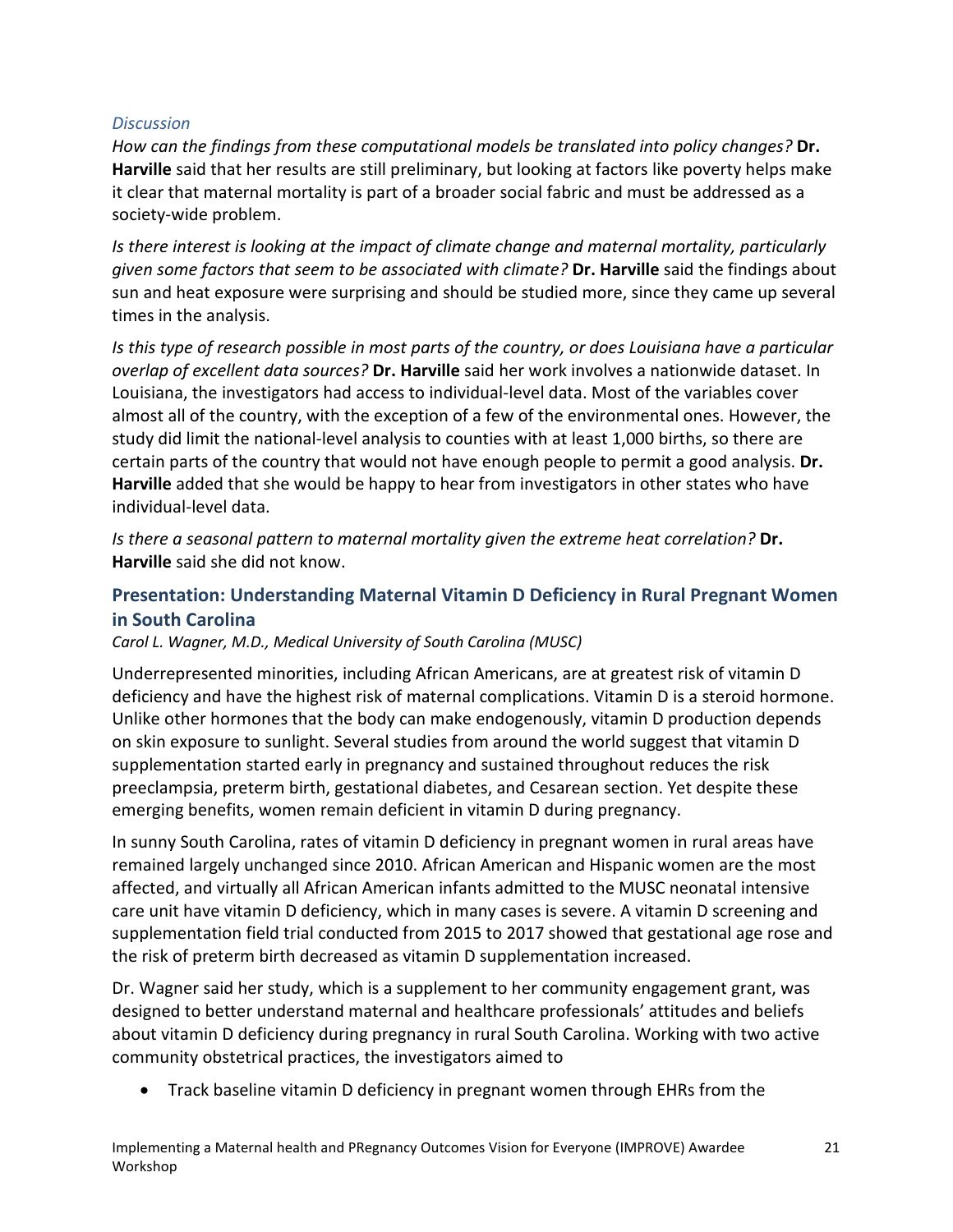# *Discussion*

*How can the findings from these computational models be translated into policy changes?* **Dr. Harville** said that her results are still preliminary, but looking at factors like poverty helps make it clear that maternal mortality is part of a broader social fabric and must be addressed as a society-wide problem.

*Is there interest is looking at the impact of climate change and maternal mortality, particularly given some factors that seem to be associated with climate?* **Dr. Harville** said the findings about sun and heat exposure were surprising and should be studied more, since they came up several times in the analysis.

*Is this type of research possible in most parts of the country, or does Louisiana have a particular overlap of excellent data sources?* **Dr. Harville** said her work involves a nationwide dataset. In Louisiana, the investigators had access to individual-level data. Most of the variables cover almost all of the country, with the exception of a few of the environmental ones. However, the study did limit the national-level analysis to counties with at least 1,000 births, so there are certain parts of the country that would not have enough people to permit a good analysis. **Dr. Harville** added that she would be happy to hear from investigators in other states who have individual-level data.

*Is there a seasonal pattern to maternal mortality given the extreme heat correlation?* **Dr. Harville** said she did not know.

# **Presentation: Understanding Maternal Vitamin D Deficiency in Rural Pregnant Women in South Carolina**

*Carol L. Wagner, M.D., Medical University of South Carolina (MUSC)*

Underrepresented minorities, including African Americans, are at greatest risk of vitamin D deficiency and have the highest risk of maternal complications. Vitamin D is a steroid hormone. Unlike other hormones that the body can make endogenously, vitamin D production depends on skin exposure to sunlight. Several studies from around the world suggest that vitamin D supplementation started early in pregnancy and sustained throughout reduces the risk preeclampsia, preterm birth, gestational diabetes, and Cesarean section. Yet despite these emerging benefits, women remain deficient in vitamin D during pregnancy.

In sunny South Carolina, rates of vitamin D deficiency in pregnant women in rural areas have remained largely unchanged since 2010. African American and Hispanic women are the most affected, and virtually all African American infants admitted to the MUSC neonatal intensive care unit have vitamin D deficiency, which in many cases is severe. A vitamin D screening and supplementation field trial conducted from 2015 to 2017 showed that gestational age rose and the risk of preterm birth decreased as vitamin D supplementation increased.

Dr. Wagner said her study, which is a supplement to her community engagement grant, was designed to better understand maternal and healthcare professionals' attitudes and beliefs about vitamin D deficiency during pregnancy in rural South Carolina. Working with two active community obstetrical practices, the investigators aimed to

• Track baseline vitamin D deficiency in pregnant women through EHRs from the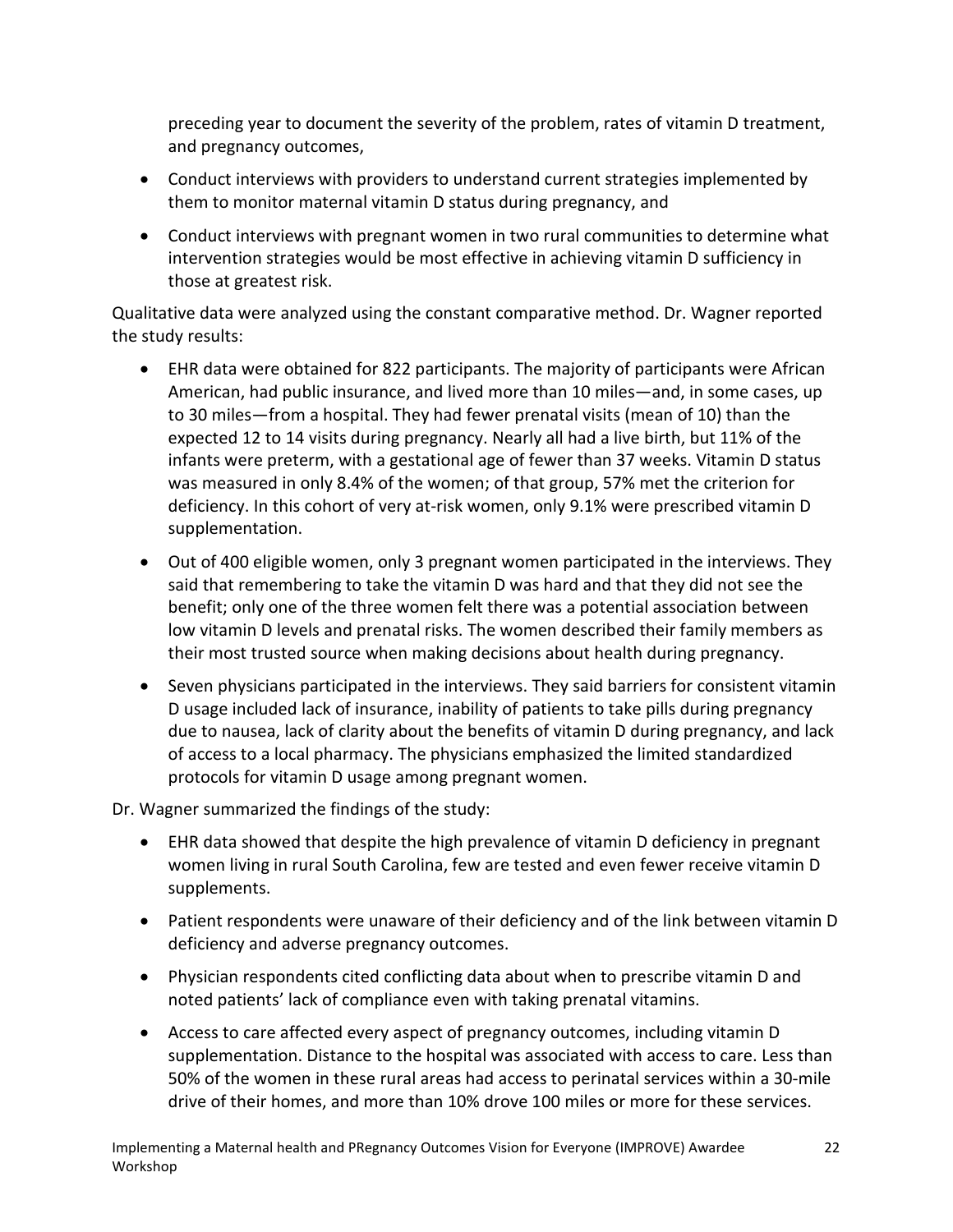preceding year to document the severity of the problem, rates of vitamin D treatment, and pregnancy outcomes,

- Conduct interviews with providers to understand current strategies implemented by them to monitor maternal vitamin D status during pregnancy, and
- Conduct interviews with pregnant women in two rural communities to determine what intervention strategies would be most effective in achieving vitamin D sufficiency in those at greatest risk.

Qualitative data were analyzed using the constant comparative method. Dr. Wagner reported the study results:

- EHR data were obtained for 822 participants. The majority of participants were African American, had public insurance, and lived more than 10 miles—and, in some cases, up to 30 miles—from a hospital. They had fewer prenatal visits (mean of 10) than the expected 12 to 14 visits during pregnancy. Nearly all had a live birth, but 11% of the infants were preterm, with a gestational age of fewer than 37 weeks. Vitamin D status was measured in only 8.4% of the women; of that group, 57% met the criterion for deficiency. In this cohort of very at-risk women, only 9.1% were prescribed vitamin D supplementation.
- Out of 400 eligible women, only 3 pregnant women participated in the interviews. They said that remembering to take the vitamin D was hard and that they did not see the benefit; only one of the three women felt there was a potential association between low vitamin D levels and prenatal risks. The women described their family members as their most trusted source when making decisions about health during pregnancy.
- Seven physicians participated in the interviews. They said barriers for consistent vitamin D usage included lack of insurance, inability of patients to take pills during pregnancy due to nausea, lack of clarity about the benefits of vitamin D during pregnancy, and lack of access to a local pharmacy. The physicians emphasized the limited standardized protocols for vitamin D usage among pregnant women.

Dr. Wagner summarized the findings of the study:

- EHR data showed that despite the high prevalence of vitamin D deficiency in pregnant women living in rural South Carolina, few are tested and even fewer receive vitamin D supplements.
- Patient respondents were unaware of their deficiency and of the link between vitamin D deficiency and adverse pregnancy outcomes.
- Physician respondents cited conflicting data about when to prescribe vitamin D and noted patients' lack of compliance even with taking prenatal vitamins.
- Access to care affected every aspect of pregnancy outcomes, including vitamin D supplementation. Distance to the hospital was associated with access to care. Less than 50% of the women in these rural areas had access to perinatal services within a 30-mile drive of their homes, and more than 10% drove 100 miles or more for these services.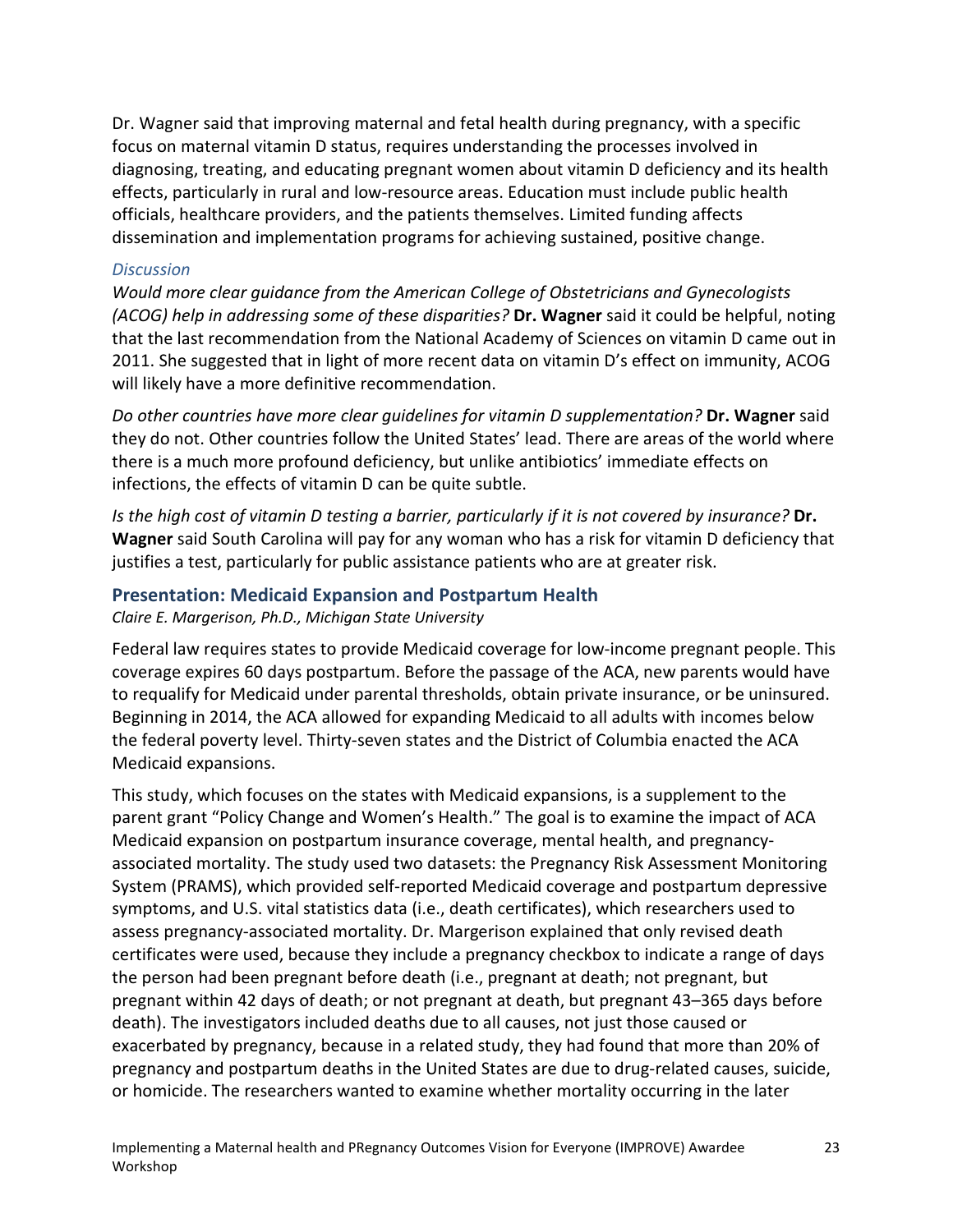Dr. Wagner said that improving maternal and fetal health during pregnancy, with a specific focus on maternal vitamin D status, requires understanding the processes involved in diagnosing, treating, and educating pregnant women about vitamin D deficiency and its health effects, particularly in rural and low-resource areas. Education must include public health officials, healthcare providers, and the patients themselves. Limited funding affects dissemination and implementation programs for achieving sustained, positive change.

#### *Discussion*

*Would more clear guidance from the American College of Obstetricians and Gynecologists (ACOG) help in addressing some of these disparities?* **Dr. Wagner** said it could be helpful, noting that the last recommendation from the National Academy of Sciences on vitamin D came out in 2011. She suggested that in light of more recent data on vitamin D's effect on immunity, ACOG will likely have a more definitive recommendation.

*Do other countries have more clear guidelines for vitamin D supplementation?* **Dr. Wagner** said they do not. Other countries follow the United States' lead. There are areas of the world where there is a much more profound deficiency, but unlike antibiotics' immediate effects on infections, the effects of vitamin D can be quite subtle.

*Is the high cost of vitamin D testing a barrier, particularly if it is not covered by insurance?* **Dr. Wagner** said South Carolina will pay for any woman who has a risk for vitamin D deficiency that justifies a test, particularly for public assistance patients who are at greater risk.

# **Presentation: Medicaid Expansion and Postpartum Health**

*Claire E. Margerison, Ph.D., Michigan State University*

Federal law requires states to provide Medicaid coverage for low-income pregnant people. This coverage expires 60 days postpartum. Before the passage of the ACA, new parents would have to requalify for Medicaid under parental thresholds, obtain private insurance, or be uninsured. Beginning in 2014, the ACA allowed for expanding Medicaid to all adults with incomes below the federal poverty level. Thirty-seven states and the District of Columbia enacted the ACA Medicaid expansions.

This study, which focuses on the states with Medicaid expansions, is a supplement to the parent grant "Policy Change and Women's Health." The goal is to examine the impact of ACA Medicaid expansion on postpartum insurance coverage, mental health, and pregnancyassociated mortality. The study used two datasets: the Pregnancy Risk Assessment Monitoring System (PRAMS), which provided self-reported Medicaid coverage and postpartum depressive symptoms, and U.S. vital statistics data (i.e., death certificates), which researchers used to assess pregnancy-associated mortality. Dr. Margerison explained that only revised death certificates were used, because they include a pregnancy checkbox to indicate a range of days the person had been pregnant before death (i.e., pregnant at death; not pregnant, but pregnant within 42 days of death; or not pregnant at death, but pregnant 43–365 days before death). The investigators included deaths due to all causes, not just those caused or exacerbated by pregnancy, because in a related study, they had found that more than 20% of pregnancy and postpartum deaths in the United States are due to drug-related causes, suicide, or homicide. The researchers wanted to examine whether mortality occurring in the later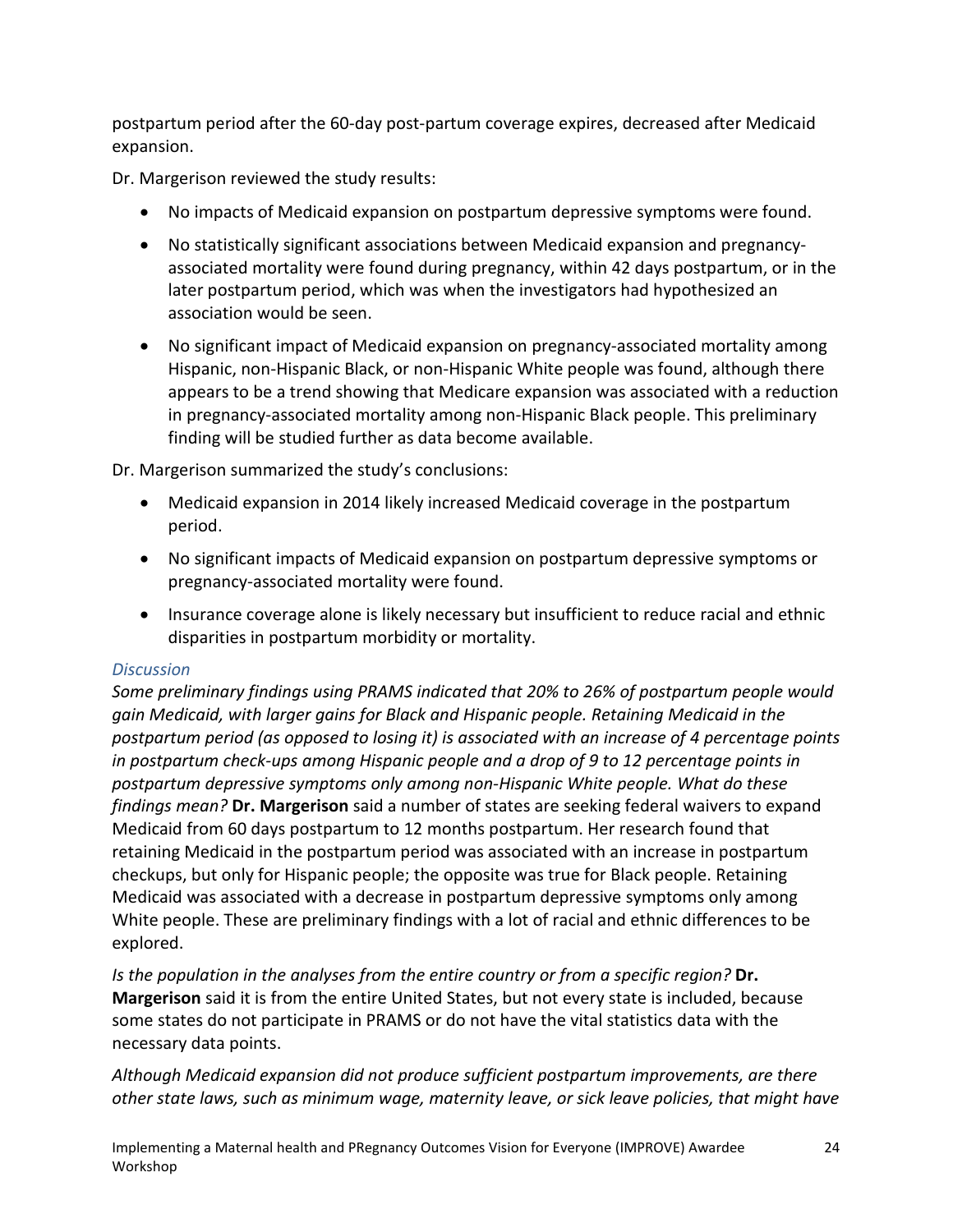postpartum period after the 60-day post-partum coverage expires, decreased after Medicaid expansion.

Dr. Margerison reviewed the study results:

- No impacts of Medicaid expansion on postpartum depressive symptoms were found.
- No statistically significant associations between Medicaid expansion and pregnancyassociated mortality were found during pregnancy, within 42 days postpartum, or in the later postpartum period, which was when the investigators had hypothesized an association would be seen.
- No significant impact of Medicaid expansion on pregnancy-associated mortality among Hispanic, non-Hispanic Black, or non-Hispanic White people was found, although there appears to be a trend showing that Medicare expansion was associated with a reduction in pregnancy-associated mortality among non-Hispanic Black people. This preliminary finding will be studied further as data become available.

Dr. Margerison summarized the study's conclusions:

- Medicaid expansion in 2014 likely increased Medicaid coverage in the postpartum period.
- No significant impacts of Medicaid expansion on postpartum depressive symptoms or pregnancy-associated mortality were found.
- Insurance coverage alone is likely necessary but insufficient to reduce racial and ethnic disparities in postpartum morbidity or mortality.

# *Discussion*

*Some preliminary findings using PRAMS indicated that 20% to 26% of postpartum people would gain Medicaid, with larger gains for Black and Hispanic people. Retaining Medicaid in the postpartum period (as opposed to losing it) is associated with an increase of 4 percentage points in postpartum check-ups among Hispanic people and a drop of 9 to 12 percentage points in postpartum depressive symptoms only among non-Hispanic White people. What do these findings mean?* **Dr. Margerison** said a number of states are seeking federal waivers to expand Medicaid from 60 days postpartum to 12 months postpartum. Her research found that retaining Medicaid in the postpartum period was associated with an increase in postpartum checkups, but only for Hispanic people; the opposite was true for Black people. Retaining Medicaid was associated with a decrease in postpartum depressive symptoms only among White people. These are preliminary findings with a lot of racial and ethnic differences to be explored.

*Is the population in the analyses from the entire country or from a specific region?* **Dr. Margerison** said it is from the entire United States, but not every state is included, because some states do not participate in PRAMS or do not have the vital statistics data with the necessary data points.

*Although Medicaid expansion did not produce sufficient postpartum improvements, are there other state laws, such as minimum wage, maternity leave, or sick leave policies, that might have*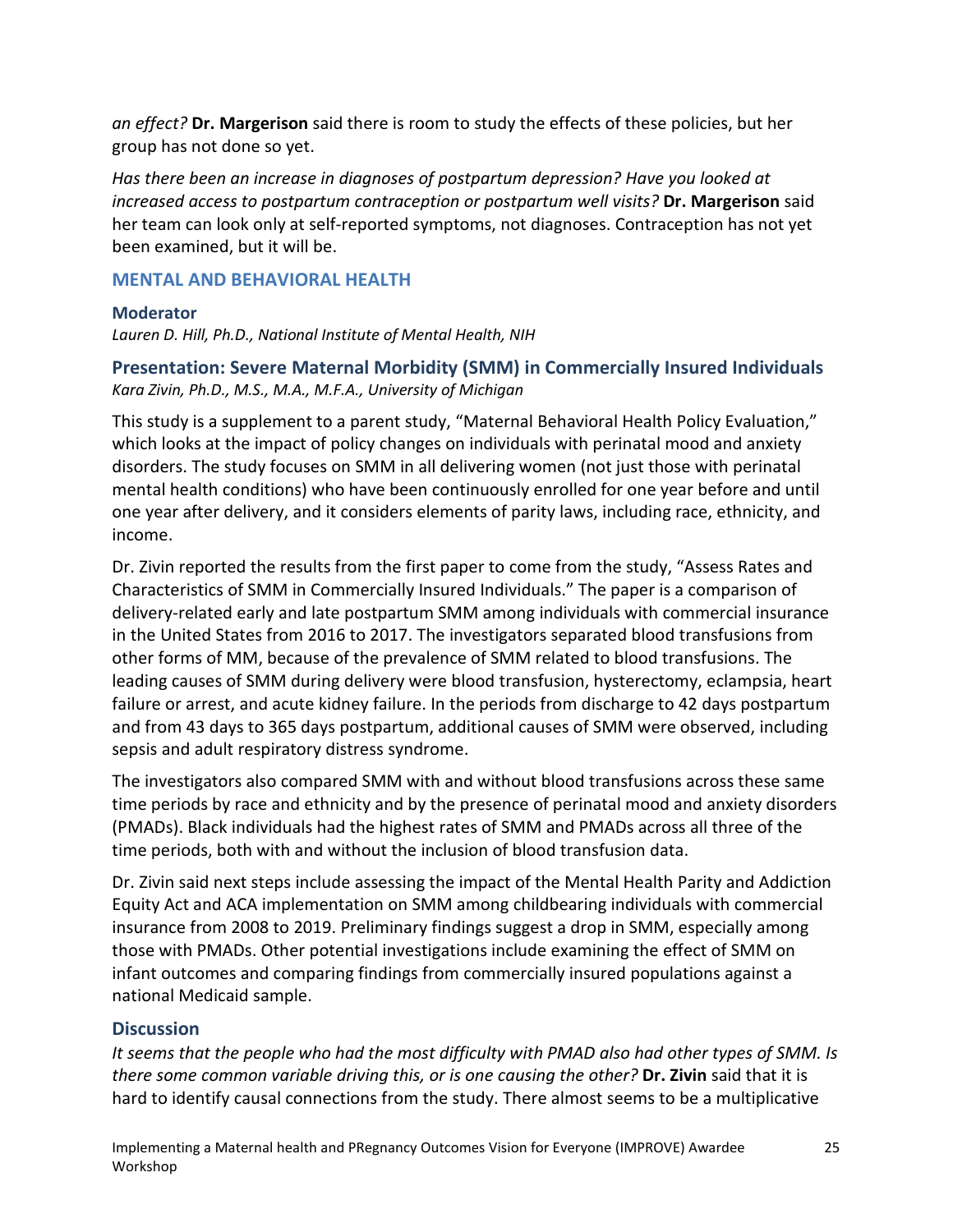*an effect?* **Dr. Margerison** said there is room to study the effects of these policies, but her group has not done so yet.

*Has there been an increase in diagnoses of postpartum depression? Have you looked at increased access to postpartum contraception or postpartum well visits?* **Dr. Margerison** said her team can look only at self-reported symptoms, not diagnoses. Contraception has not yet been examined, but it will be.

# **MENTAL AND BEHAVIORAL HEALTH**

# **Moderator**

*Lauren D. Hill, Ph.D., National Institute of Mental Health, NIH*

# **Presentation: Severe Maternal Morbidity (SMM) in Commercially Insured Individuals** *Kara Zivin, Ph.D., M.S., M.A., M.F.A., University of Michigan*

This study is a supplement to a parent study, "Maternal Behavioral Health Policy Evaluation," which looks at the impact of policy changes on individuals with perinatal mood and anxiety disorders. The study focuses on SMM in all delivering women (not just those with perinatal mental health conditions) who have been continuously enrolled for one year before and until one year after delivery, and it considers elements of parity laws, including race, ethnicity, and income.

Dr. Zivin reported the results from the first paper to come from the study, "Assess Rates and Characteristics of SMM in Commercially Insured Individuals." The paper is a comparison of delivery-related early and late postpartum SMM among individuals with commercial insurance in the United States from 2016 to 2017. The investigators separated blood transfusions from other forms of MM, because of the prevalence of SMM related to blood transfusions. The leading causes of SMM during delivery were blood transfusion, hysterectomy, eclampsia, heart failure or arrest, and acute kidney failure. In the periods from discharge to 42 days postpartum and from 43 days to 365 days postpartum, additional causes of SMM were observed, including sepsis and adult respiratory distress syndrome.

The investigators also compared SMM with and without blood transfusions across these same time periods by race and ethnicity and by the presence of perinatal mood and anxiety disorders (PMADs). Black individuals had the highest rates of SMM and PMADs across all three of the time periods, both with and without the inclusion of blood transfusion data.

Dr. Zivin said next steps include assessing the impact of the Mental Health Parity and Addiction Equity Act and ACA implementation on SMM among childbearing individuals with commercial insurance from 2008 to 2019. Preliminary findings suggest a drop in SMM, especially among those with PMADs. Other potential investigations include examining the effect of SMM on infant outcomes and comparing findings from commercially insured populations against a national Medicaid sample.

# **Discussion**

*It seems that the people who had the most difficulty with PMAD also had other types of SMM. Is there some common variable driving this, or is one causing the other?* **Dr. Zivin** said that it is hard to identify causal connections from the study. There almost seems to be a multiplicative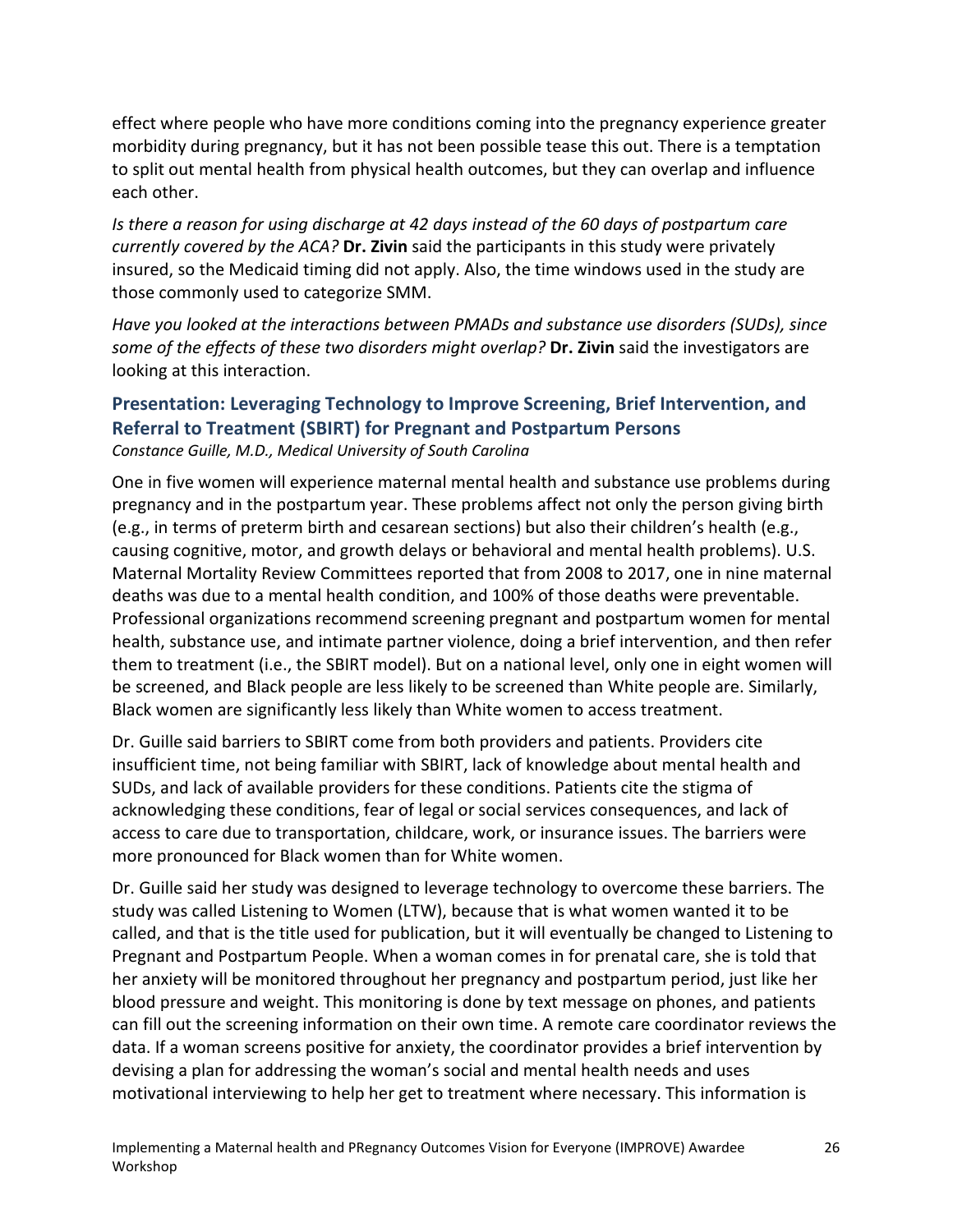effect where people who have more conditions coming into the pregnancy experience greater morbidity during pregnancy, but it has not been possible tease this out. There is a temptation to split out mental health from physical health outcomes, but they can overlap and influence each other.

*Is there a reason for using discharge at 42 days instead of the 60 days of postpartum care currently covered by the ACA?* **Dr. Zivin** said the participants in this study were privately insured, so the Medicaid timing did not apply. Also, the time windows used in the study are those commonly used to categorize SMM.

*Have you looked at the interactions between PMADs and substance use disorders (SUDs), since some of the effects of these two disorders might overlap?* **Dr. Zivin** said the investigators are looking at this interaction.

# **Presentation: Leveraging Technology to Improve Screening, Brief Intervention, and Referral to Treatment (SBIRT) for Pregnant and Postpartum Persons** *Constance Guille, M.D., Medical University of South Carolina*

One in five women will experience maternal mental health and substance use problems during pregnancy and in the postpartum year. These problems affect not only the person giving birth (e.g., in terms of preterm birth and cesarean sections) but also their children's health (e.g., causing cognitive, motor, and growth delays or behavioral and mental health problems). U.S. Maternal Mortality Review Committees reported that from 2008 to 2017, one in nine maternal deaths was due to a mental health condition, and 100% of those deaths were preventable. Professional organizations recommend screening pregnant and postpartum women for mental health, substance use, and intimate partner violence, doing a brief intervention, and then refer them to treatment (i.e., the SBIRT model). But on a national level, only one in eight women will be screened, and Black people are less likely to be screened than White people are. Similarly, Black women are significantly less likely than White women to access treatment.

Dr. Guille said barriers to SBIRT come from both providers and patients. Providers cite insufficient time, not being familiar with SBIRT, lack of knowledge about mental health and SUDs, and lack of available providers for these conditions. Patients cite the stigma of acknowledging these conditions, fear of legal or social services consequences, and lack of access to care due to transportation, childcare, work, or insurance issues. The barriers were more pronounced for Black women than for White women.

Dr. Guille said her study was designed to leverage technology to overcome these barriers. The study was called Listening to Women (LTW), because that is what women wanted it to be called, and that is the title used for publication, but it will eventually be changed to Listening to Pregnant and Postpartum People. When a woman comes in for prenatal care, she is told that her anxiety will be monitored throughout her pregnancy and postpartum period, just like her blood pressure and weight. This monitoring is done by text message on phones, and patients can fill out the screening information on their own time. A remote care coordinator reviews the data. If a woman screens positive for anxiety, the coordinator provides a brief intervention by devising a plan for addressing the woman's social and mental health needs and uses motivational interviewing to help her get to treatment where necessary. This information is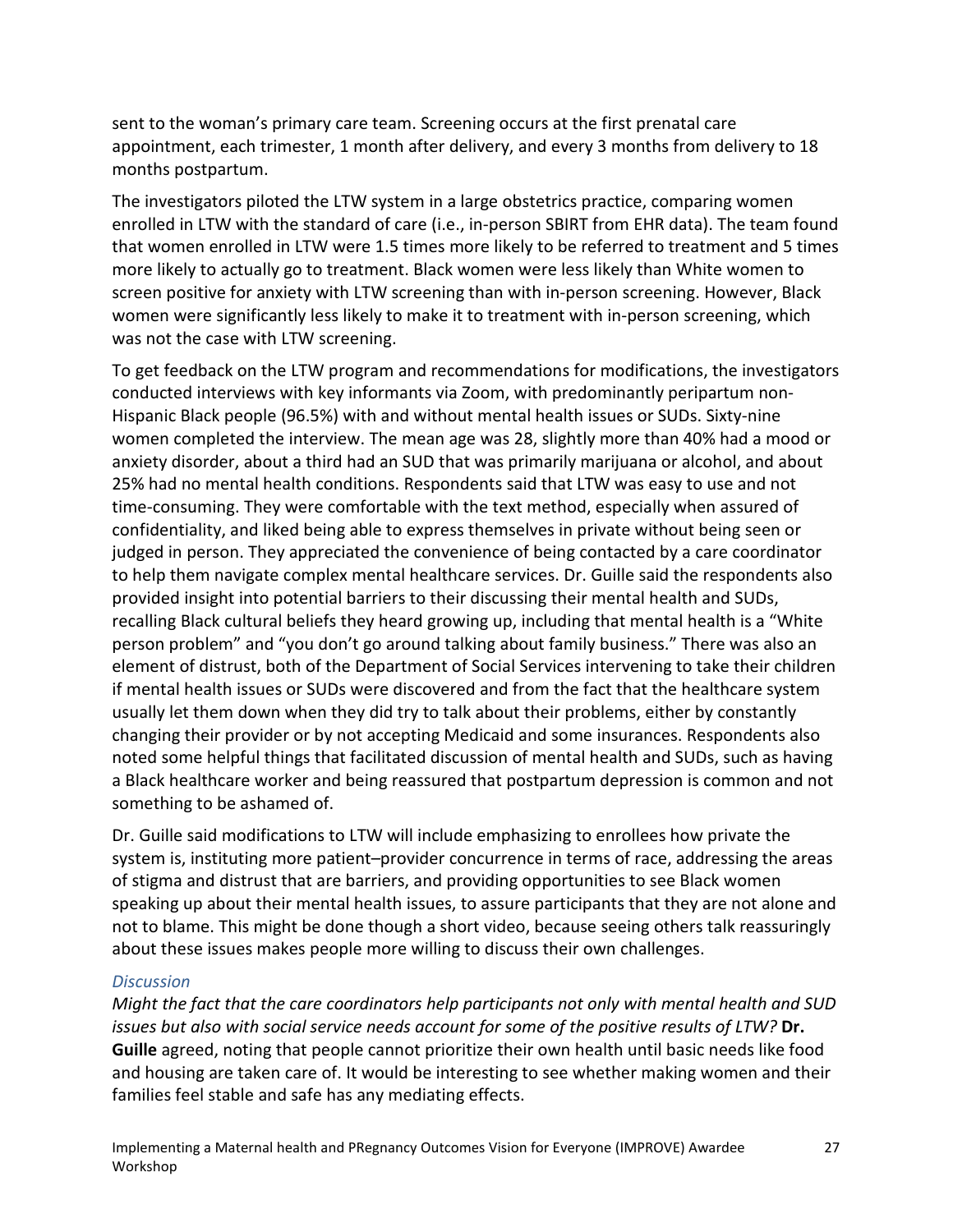sent to the woman's primary care team. Screening occurs at the first prenatal care appointment, each trimester, 1 month after delivery, and every 3 months from delivery to 18 months postpartum.

The investigators piloted the LTW system in a large obstetrics practice, comparing women enrolled in LTW with the standard of care (i.e., in-person SBIRT from EHR data). The team found that women enrolled in LTW were 1.5 times more likely to be referred to treatment and 5 times more likely to actually go to treatment. Black women were less likely than White women to screen positive for anxiety with LTW screening than with in-person screening. However, Black women were significantly less likely to make it to treatment with in-person screening, which was not the case with LTW screening.

To get feedback on the LTW program and recommendations for modifications, the investigators conducted interviews with key informants via Zoom, with predominantly peripartum non-Hispanic Black people (96.5%) with and without mental health issues or SUDs. Sixty-nine women completed the interview. The mean age was 28, slightly more than 40% had a mood or anxiety disorder, about a third had an SUD that was primarily marijuana or alcohol, and about 25% had no mental health conditions. Respondents said that LTW was easy to use and not time-consuming. They were comfortable with the text method, especially when assured of confidentiality, and liked being able to express themselves in private without being seen or judged in person. They appreciated the convenience of being contacted by a care coordinator to help them navigate complex mental healthcare services. Dr. Guille said the respondents also provided insight into potential barriers to their discussing their mental health and SUDs, recalling Black cultural beliefs they heard growing up, including that mental health is a "White person problem" and "you don't go around talking about family business." There was also an element of distrust, both of the Department of Social Services intervening to take their children if mental health issues or SUDs were discovered and from the fact that the healthcare system usually let them down when they did try to talk about their problems, either by constantly changing their provider or by not accepting Medicaid and some insurances. Respondents also noted some helpful things that facilitated discussion of mental health and SUDs, such as having a Black healthcare worker and being reassured that postpartum depression is common and not something to be ashamed of.

Dr. Guille said modifications to LTW will include emphasizing to enrollees how private the system is, instituting more patient–provider concurrence in terms of race, addressing the areas of stigma and distrust that are barriers, and providing opportunities to see Black women speaking up about their mental health issues, to assure participants that they are not alone and not to blame. This might be done though a short video, because seeing others talk reassuringly about these issues makes people more willing to discuss their own challenges.

#### *Discussion*

*Might the fact that the care coordinators help participants not only with mental health and SUD issues but also with social service needs account for some of the positive results of LTW?* **Dr. Guille** agreed, noting that people cannot prioritize their own health until basic needs like food and housing are taken care of. It would be interesting to see whether making women and their families feel stable and safe has any mediating effects.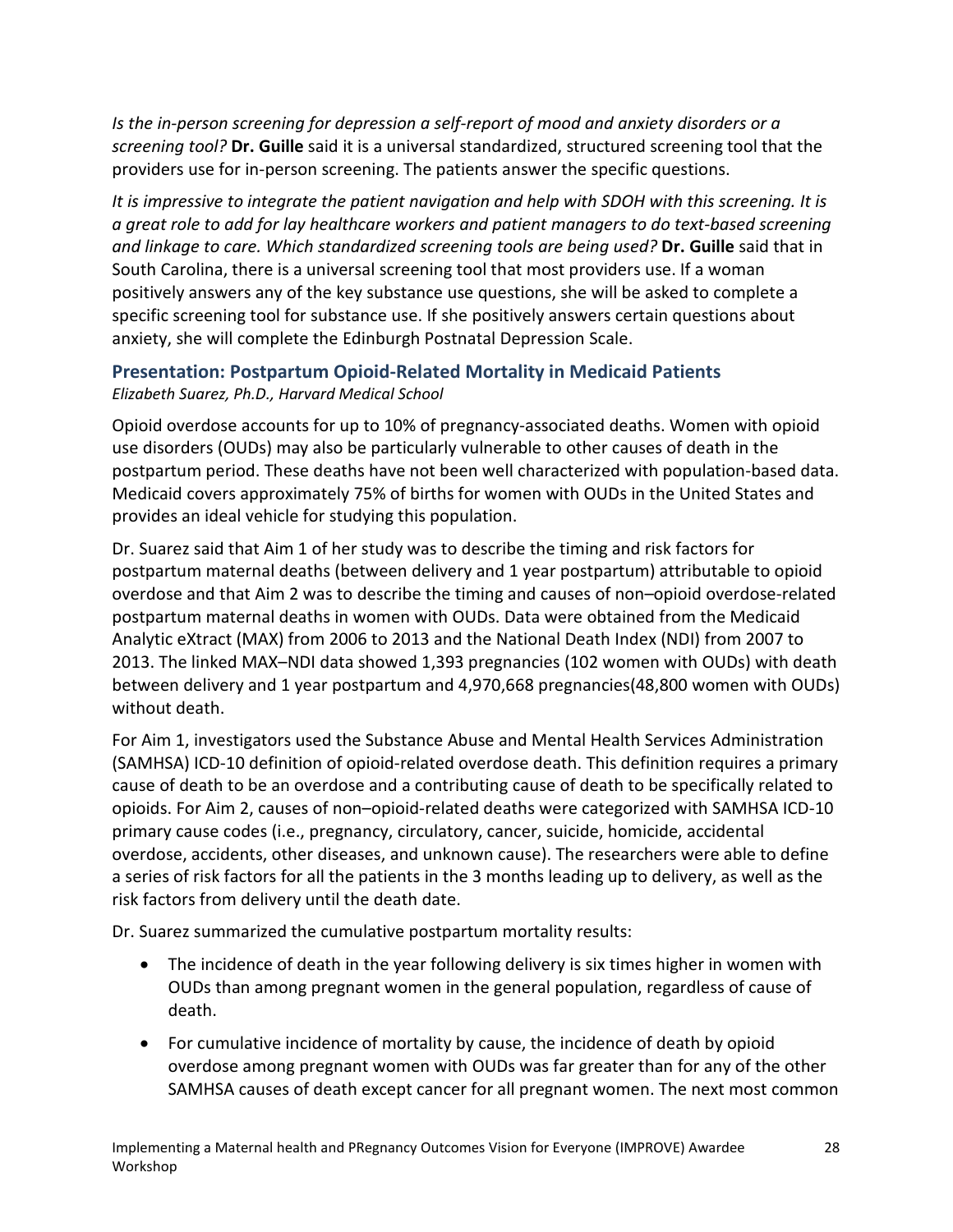*Is the in-person screening for depression a self-report of mood and anxiety disorders or a screening tool?* **Dr. Guille** said it is a universal standardized, structured screening tool that the providers use for in-person screening. The patients answer the specific questions.

*It is impressive to integrate the patient navigation and help with SDOH with this screening. It is a great role to add for lay healthcare workers and patient managers to do text-based screening and linkage to care. Which standardized screening tools are being used?* **Dr. Guille** said that in South Carolina, there is a universal screening tool that most providers use. If a woman positively answers any of the key substance use questions, she will be asked to complete a specific screening tool for substance use. If she positively answers certain questions about anxiety, she will complete the Edinburgh Postnatal Depression Scale.

# **Presentation: Postpartum Opioid-Related Mortality in Medicaid Patients** *Elizabeth Suarez, Ph.D., Harvard Medical School*

Opioid overdose accounts for up to 10% of pregnancy-associated deaths. Women with opioid use disorders (OUDs) may also be particularly vulnerable to other causes of death in the postpartum period. These deaths have not been well characterized with population-based data. Medicaid covers approximately 75% of births for women with OUDs in the United States and provides an ideal vehicle for studying this population.

Dr. Suarez said that Aim 1 of her study was to describe the timing and risk factors for postpartum maternal deaths (between delivery and 1 year postpartum) attributable to opioid overdose and that Aim 2 was to describe the timing and causes of non–opioid overdose-related postpartum maternal deaths in women with OUDs. Data were obtained from the Medicaid Analytic eXtract (MAX) from 2006 to 2013 and the National Death Index (NDI) from 2007 to 2013. The linked MAX–NDI data showed 1,393 pregnancies (102 women with OUDs) with death between delivery and 1 year postpartum and 4,970,668 pregnancies(48,800 women with OUDs) without death.

For Aim 1, investigators used the Substance Abuse and Mental Health Services Administration (SAMHSA) ICD-10 definition of opioid-related overdose death. This definition requires a primary cause of death to be an overdose and a contributing cause of death to be specifically related to opioids. For Aim 2, causes of non–opioid-related deaths were categorized with SAMHSA ICD-10 primary cause codes (i.e., pregnancy, circulatory, cancer, suicide, homicide, accidental overdose, accidents, other diseases, and unknown cause). The researchers were able to define a series of risk factors for all the patients in the 3 months leading up to delivery, as well as the risk factors from delivery until the death date.

Dr. Suarez summarized the cumulative postpartum mortality results:

- The incidence of death in the year following delivery is six times higher in women with OUDs than among pregnant women in the general population, regardless of cause of death.
- For cumulative incidence of mortality by cause, the incidence of death by opioid overdose among pregnant women with OUDs was far greater than for any of the other SAMHSA causes of death except cancer for all pregnant women. The next most common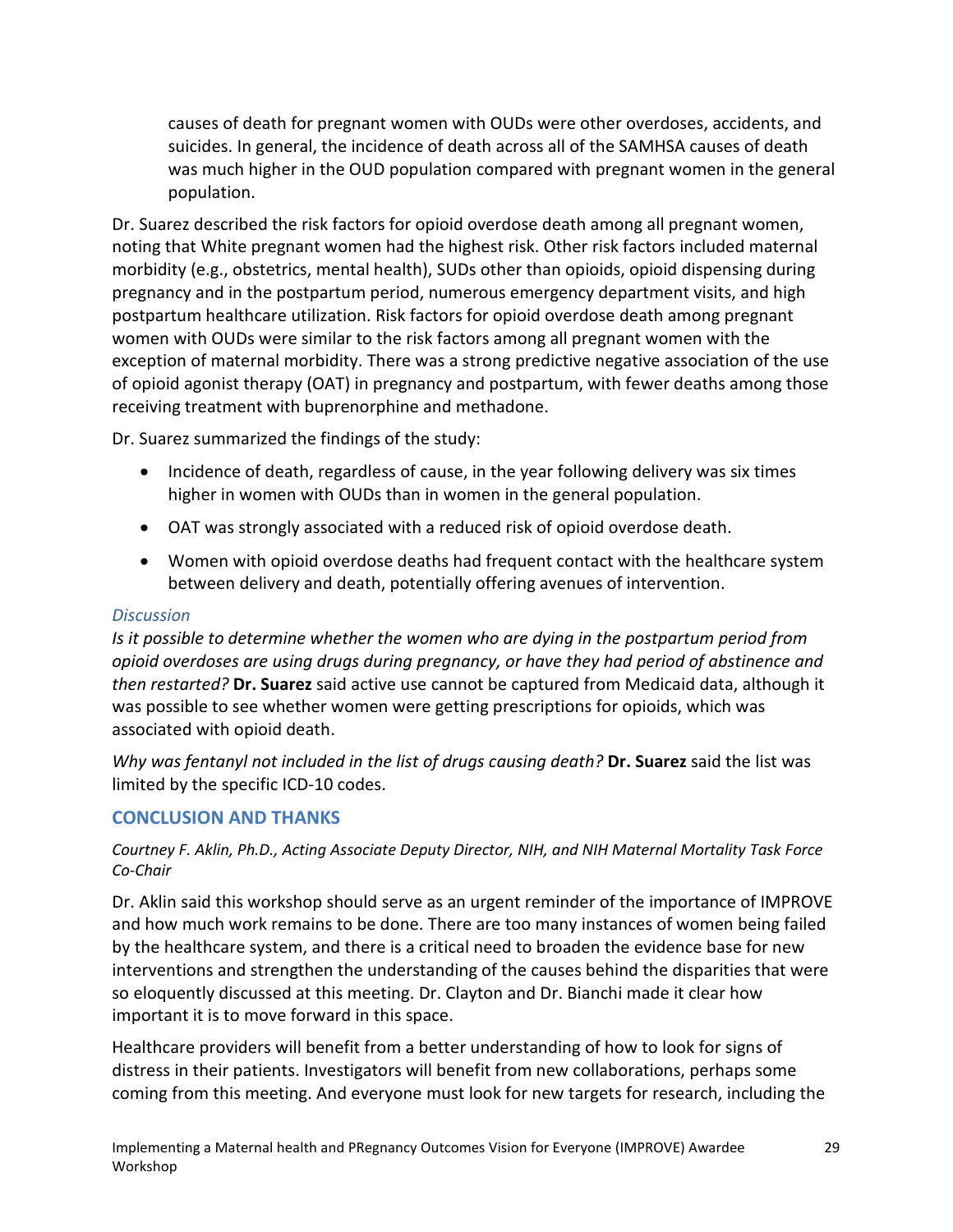causes of death for pregnant women with OUDs were other overdoses, accidents, and suicides. In general, the incidence of death across all of the SAMHSA causes of death was much higher in the OUD population compared with pregnant women in the general population.

Dr. Suarez described the risk factors for opioid overdose death among all pregnant women, noting that White pregnant women had the highest risk. Other risk factors included maternal morbidity (e.g., obstetrics, mental health), SUDs other than opioids, opioid dispensing during pregnancy and in the postpartum period, numerous emergency department visits, and high postpartum healthcare utilization. Risk factors for opioid overdose death among pregnant women with OUDs were similar to the risk factors among all pregnant women with the exception of maternal morbidity. There was a strong predictive negative association of the use of opioid agonist therapy (OAT) in pregnancy and postpartum, with fewer deaths among those receiving treatment with buprenorphine and methadone.

Dr. Suarez summarized the findings of the study:

- Incidence of death, regardless of cause, in the year following delivery was six times higher in women with OUDs than in women in the general population.
- OAT was strongly associated with a reduced risk of opioid overdose death.
- Women with opioid overdose deaths had frequent contact with the healthcare system between delivery and death, potentially offering avenues of intervention.

### *Discussion*

*Is it possible to determine whether the women who are dying in the postpartum period from opioid overdoses are using drugs during pregnancy, or have they had period of abstinence and then restarted?* **Dr. Suarez** said active use cannot be captured from Medicaid data, although it was possible to see whether women were getting prescriptions for opioids, which was associated with opioid death.

*Why was fentanyl not included in the list of drugs causing death?* **Dr. Suarez** said the list was limited by the specific ICD-10 codes.

# **CONCLUSION AND THANKS**

# *Courtney F. Aklin, Ph.D., Acting Associate Deputy Director, NIH, and NIH Maternal Mortality Task Force Co-Chair*

Dr. Aklin said this workshop should serve as an urgent reminder of the importance of IMPROVE and how much work remains to be done. There are too many instances of women being failed by the healthcare system, and there is a critical need to broaden the evidence base for new interventions and strengthen the understanding of the causes behind the disparities that were so eloquently discussed at this meeting. Dr. Clayton and Dr. Bianchi made it clear how important it is to move forward in this space.

Healthcare providers will benefit from a better understanding of how to look for signs of distress in their patients. Investigators will benefit from new collaborations, perhaps some coming from this meeting. And everyone must look for new targets for research, including the